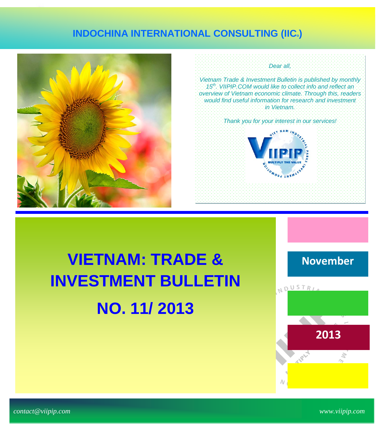#### KK11, Battarin Williams 10, Ho **INDOCHINA INTERNATIONAL CONSULTING (IIC.)**



would find useful information for research and investment in Vietnam.<br> *in Vietnam Dear all, Vietnam Trade & Investment Bulletin is published by monthly 15th. VIIPIP.COM would like to collect info and reflect an overview of Vietnam economic climate. Through this, readers in Vietnam.*

*Thank y[ou for your interest in our se](http://www.viipip.com/homeen/)rvices!* 



# **VIETNAM: TRADE & INVESTMENT BULLETIN NO. 11/ 2013**



**November**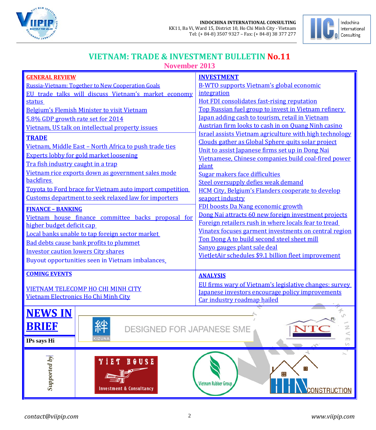



# **VIETNAM: TRADE & INVESTMENT BULLETIN No.11**

**November 2013**

| <b>GENERAL REVIEW</b>                                    | <b>INVESTMENT</b>                                              |
|----------------------------------------------------------|----------------------------------------------------------------|
| <b>Russia-Vietnam: Together to New Cooperation Goals</b> | <b>B-WTO supports Vietnam's global economic</b>                |
| EU trade talks will discuss Vietnam's market economy     | integration                                                    |
| status                                                   | <b>Hot FDI consolidates fast-rising reputation</b>             |
| Belgium's Flemish Minister to visit Vietnam              | Top Russian fuel group to invest in Vietnam refinery           |
| 5.8% GDP growth rate set for 2014                        | Japan adding cash to tourism, retail in Vietnam                |
| Vietnam, US talk on intellectual property issues         | <b>Austrian firm looks to cash in on Quang Ninh casino</b>     |
| <b>TRADE</b>                                             | <b>Israel assists Vietnam agriculture with high technology</b> |
| Vietnam, Middle East - North Africa to push trade ties   | Clouds gather as Global Sphere quits solar project             |
| <b>Experts lobby for gold market loosening</b>           | Unit to assist Japanese firms set up in Dong Nai               |
| Tra fish industry caught in a trap                       | Vietnamese, Chinese companies build coal-fired power<br>plant  |
| Vietnam rice exports down as government sales mode       | <b>Sugar makers face difficulties</b>                          |
| backfires                                                | Steel oversupply defies weak demand                            |
| Toyota to Ford brace for Vietnam auto import competition | <b>HCM City, Belgium's Flanders cooperate to develop</b>       |
| Customs department to seek relaxed law for importers     | seaport industry                                               |
| <b>FINANCE - BANKING</b>                                 | FDI boosts Da Nang economic growth                             |
| Vietnam house finance committee backs proposal for       | Dong Nai attracts 60 new foreign investment projects           |
| higher budget deficit cap                                | Foreign retailers rush in where locals fear to tread           |
| Local banks unable to tap foreign sector market          | Vinatex focuses garment investments on central region          |
| Bad debts cause bank profits to plummet                  | Ton Dong A to build second steel sheet mill                    |
| <b>Investor caution lowers City shares</b>               | Sanyo gauges plant sale deal                                   |
|                                                          | VietJetAir schedules \$9.1 billion fleet improvement           |
| Buyout opportunities seen in Vietnam imbalances          |                                                                |
| <b>COMING EVENTS</b>                                     | <b>ANALYSIS</b>                                                |
|                                                          | EU firms wary of Vietnam's legislative changes: survey         |
| <b>VIETNAM TELECOMP HO CHI MINH CITY</b>                 | Japanese investors encourage policy improvements               |
| Vietnam Electronics Ho Chi Minh City                     | Car industry roadmap hailed                                    |
| <b>NEWS IN</b>                                           |                                                                |
|                                                          | $\mathcal{O}$                                                  |
| 絆<br><b>BRIEF</b><br>DESIGNED FOR JAPANESE SME           | $\mathbb Z$                                                    |
| <b>KIZUNA</b>                                            | $\leq$                                                         |
| IPs says Hi                                              | $\Gamma\Gamma$<br>$\cup$                                       |
|                                                          | $\sim$                                                         |
| Supported by<br>HOUSE<br>YIET                            |                                                                |
|                                                          | 田                                                              |
| <b>SIIIIIIE</b>                                          | æ                                                              |
| <b>Investment &amp; Consultancy</b>                      | <b>Vietnam Rubber Group</b>                                    |
|                                                          | <b>CONSTRUCTION</b>                                            |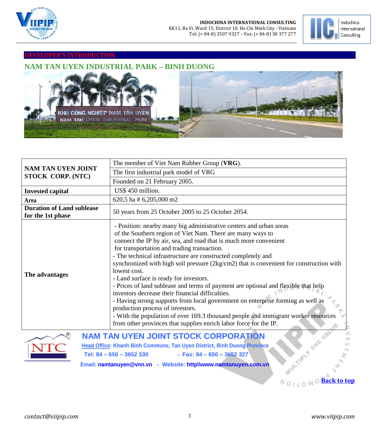



#### **DEVELOPER'S INTRODUCTION**

# **NAM TAN UYEN INDUSTRIAL PARK – BINH DUONG**



| The member of Viet Nam Rubber Group (VRG).<br><b>NAM TAN UYEN JOINT</b><br>The first industrial park model of VRG<br>STOCK CORP. (NTC)<br>Founded on 21 February 2005.<br>US\$450 million.<br><b>Invested capital</b><br>620,5 ha # $6,205,000$ m2<br>Area<br><b>Duration of Land sublease</b><br>50 years from 25 October 2005 to 25 October 2054.<br>for the 1st phase<br>- Position: nearby many big administrative centers and urban areas<br>of the Southern region of Viet Nam. There are many ways to<br>connect the IP by air, sea, and road that is much more convenient<br>for transportation and trading transaction.<br>- The technical infrastructure are constructed completely and<br>synchronized with high soil pressure (2kg/cm2) that is convenient for construction with<br>lowest cost.<br>The advantages<br>- Land surface is ready for investors.<br>- Prices of land sublease and terms of payment are optional and flexible that help<br>investors decrease their financial difficulties.<br>- Having strong supports from local government on enterprise forming as well as<br>production process of investors.<br>- With the population of over 169.3 thousand people and immigrant worker resources<br>from other provinces that supplies enrich labor force for the IP. |  |  |
|------------------------------------------------------------------------------------------------------------------------------------------------------------------------------------------------------------------------------------------------------------------------------------------------------------------------------------------------------------------------------------------------------------------------------------------------------------------------------------------------------------------------------------------------------------------------------------------------------------------------------------------------------------------------------------------------------------------------------------------------------------------------------------------------------------------------------------------------------------------------------------------------------------------------------------------------------------------------------------------------------------------------------------------------------------------------------------------------------------------------------------------------------------------------------------------------------------------------------------------------------------------------------------------------------|--|--|
|                                                                                                                                                                                                                                                                                                                                                                                                                                                                                                                                                                                                                                                                                                                                                                                                                                                                                                                                                                                                                                                                                                                                                                                                                                                                                                      |  |  |
|                                                                                                                                                                                                                                                                                                                                                                                                                                                                                                                                                                                                                                                                                                                                                                                                                                                                                                                                                                                                                                                                                                                                                                                                                                                                                                      |  |  |
|                                                                                                                                                                                                                                                                                                                                                                                                                                                                                                                                                                                                                                                                                                                                                                                                                                                                                                                                                                                                                                                                                                                                                                                                                                                                                                      |  |  |
|                                                                                                                                                                                                                                                                                                                                                                                                                                                                                                                                                                                                                                                                                                                                                                                                                                                                                                                                                                                                                                                                                                                                                                                                                                                                                                      |  |  |
|                                                                                                                                                                                                                                                                                                                                                                                                                                                                                                                                                                                                                                                                                                                                                                                                                                                                                                                                                                                                                                                                                                                                                                                                                                                                                                      |  |  |
|                                                                                                                                                                                                                                                                                                                                                                                                                                                                                                                                                                                                                                                                                                                                                                                                                                                                                                                                                                                                                                                                                                                                                                                                                                                                                                      |  |  |
|                                                                                                                                                                                                                                                                                                                                                                                                                                                                                                                                                                                                                                                                                                                                                                                                                                                                                                                                                                                                                                                                                                                                                                                                                                                                                                      |  |  |



**NAM TAN UYEN JOINT STOCK CORPORATION Head Office: Khanh Binh Commune, Tan Uyen District, Binh Duong Province Tel: 84 – 650 – 3652 330 - Fax: 84 – 650 – 3652 327 Email: namtanuyen@vnn.vn - Website: http\\www.namtanuyen.com.vn**

 $\Gamma\Gamma$  $\omega$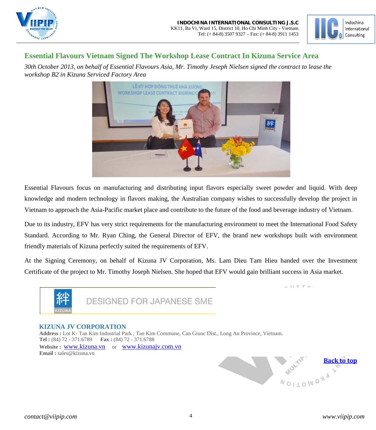



# **Essential Flavours Vietnam Signed The Workshop Lease Contract In Kizuna Service Area**

*30th October 2013, on behalf of Essential Flavours Asia, Mr. Timothy Jeseph Nielsen signed the contract to lease the workshop B2 in Kizuna Serviced Factory Area*



Essential Flavours focus on manufacturing and distributing input flavors especially sweet powder and liquid. With deep knowledge and modern technology in flavors making, the Australian company wishes to successfully develop the project in Vietnam to approach the Asia-Pacific market place and contribute to the future of the food and beverage industry of Vietnam.

Due to its industry, EFV has very strict requirements for the manufacturing environment to meet the International Food Safety Standard. According to Mr. Ryan Ching, the General Director of EFV, the brand new workshops built with environment friendly materials of Kizuna perfectly suited the requirements of EFV.

At the Signing Ceremony, on behalf of Kizuna JV Corporation, Ms. Lam Dieu Tam Hieu handed over the Investment Certificate of the project to Mr. Timothy Joseph Nielsen. She hoped that EFV would gain brilliant success in Asia market.



DESIGNED FOR JAPANESE SME

# **KIZUNA JV CORPORATION**

**Address :** Lot K- Tan Kim Industrial Park , Tan Kim Commune, Can Giuoc Dist., Long An Province, Vietnam. **Tel :** (84) 72 - 371.6789 **Fax :** (84) 72 - 371.6788 Website: [www.kizuna.vn](http://www.kizuna.vn/) or [www.kizunajv.com.vn](http://www.kizunajv.com.vn/) **Email :** sales@kizuna.vn

**Back to top** 

 $\sim$  11  $\leq$  T  $\sim$ .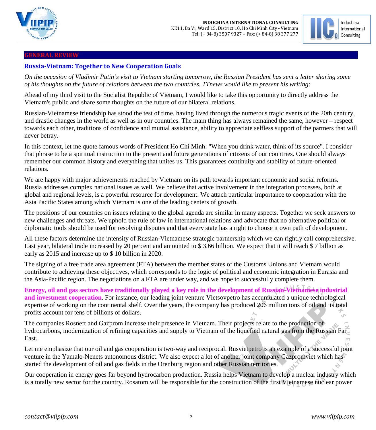



#### <span id="page-4-0"></span>**GENERAL REVIEW**

## **Russia-Vietnam: Together to New Cooperation Goals**

*On the occasion of Vladimir Putin's visit to Vietnam starting tomorrow, the Russian President has sent a letter sharing some of his thoughts on the future of relations between the two countries. TTnews would like to present his writing:*

Ahead of my third visit to the Socialist Republic of Vietnam, I would like to take this opportunity to directly address the Vietnam's public and share some thoughts on the future of our bilateral relations.

Russian-Vietnamese friendship has stood the test of time, having lived through the numerous tragic events of the 20th century, and drastic changes in the world as well as in our countries. The main thing has always remained the same, however – respect towards each other, traditions of confidence and mutual assistance, ability to appreciate selfless support of the partners that will never betray.

In this context, let me quote famous words of President Ho Chi Minh: "When you drink water, think of its source". I consider that phrase to be a spiritual instruction to the present and future generations of citizens of our countries. One should always remember our common history and everything that unites us. This guarantees continuity and stability of future-oriented relations.

We are happy with major achievements reached by Vietnam on its path towards important economic and social reforms. Russia addresses complex national issues as well. We believe that active involvement in the integration processes, both at global and regional levels, is a powerful resource for development. We attach particular importance to cooperation with the Asia Pacific States among which Vietnam is one of the leading centers of growth.

The positions of our countries on issues relating to the global agenda are similar in many aspects. Together we seek answers to new challenges and threats. We uphold the rule of law in international relations and advocate that no alternative political or diplomatic tools should be used for resolving disputes and that every state has a right to choose it own path of development.

All these factors determine the intensity of Russian-Vietnamese strategic partnership which we can rightly call comprehensive. Last year, bilateral trade increased by 20 percent and amounted to \$3.66 billion. We expect that it will reach \$7 billion as early as 2015 and increase up to \$ 10 billion in 2020.

The signing of a free trade area agreement (FTA) between the member states of the Customs Unions and Vietnam would contribute to achieving these objectives, which corresponds to the logic of political and economic integration in Eurasia and the Asia-Pacific region. The negotiations on a FTA are under way, and we hope to successfully complete them.

**Energy, oil and gas sectors have traditionally played a key role in the development of Russian-Vietnamese industrial and investment cooperation**. For instance, our leading joint venture Vietsovpetro has accumulated a unique technological expertise of working on the continental shelf. Over the years, the company has produced 206 million tons of oil and its total profits account for tens of billions of dollars.

The companies Rosneft and Gazprom increase their presence in Vietnam. Their projects relate to the production of hydrocarbons, modernization of refining capacities and supply to Vietnam of the liquefied natural gas from the Russian Far East.

Let me emphasize that our oil and gas cooperation is two-way and reciprocal. Rusvietpetro is an example of a successful joint venture in the Yamalo-Nenets autonomous district. We also expect a lot of another joint company Gazpromviet which has started the development of oil and gas fields in the Orenburg region and other Russian territories.

Our cooperation in energy goes far beyond hydrocarbon production. Russia helps Vietnam to develop a nuclear industry which is a totally new sector for the country. Rosatom will be responsible for the construction of the first Vietnamese nuclear power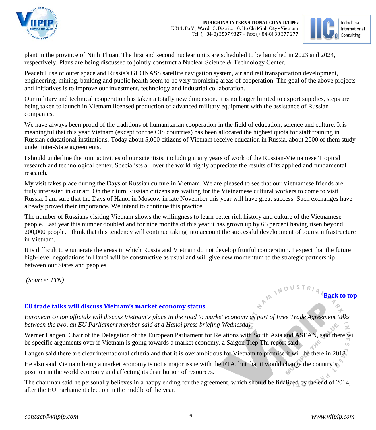



plant in the province of Ninh Thuan. The first and second nuclear units are scheduled to be launched in 2023 and 2024, respectively. Plans are being discussed to jointly construct a Nuclear Science & Technology Center.

Peaceful use of outer space and Russia's GLONASS satellite navigation system, air and rail transportation development, engineering, mining, banking and public health seem to be very promising areas of cooperation. The goal of the above projects and initiatives is to improve our investment, technology and industrial collaboration.

Our military and technical cooperation has taken a totally new dimension. It is no longer limited to export supplies, steps are being taken to launch in Vietnam licensed production of advanced military equipment with the assistance of Russian companies.

We have always been proud of the traditions of humanitarian cooperation in the field of education, science and culture. It is meaningful that this year Vietnam (except for the CIS countries) has been allocated the highest quota for staff training in Russian educational institutions. Today about 5,000 citizens of Vietnam receive education in Russia, about 2000 of them study under inter-State agreements.

I should underline the joint activities of our scientists, including many years of work of the Russian-Vietnamese Tropical research and technological center. Specialists all over the world highly appreciate the results of its applied and fundamental research.

My visit takes place during the Days of Russian culture in Vietnam. We are pleased to see that our Vietnamese friends are truly interested in our art. On their turn Russian citizens are waiting for the Vietnamese cultural workers to come to visit Russia. I am sure that the Days of Hanoi in Moscow in late November this year will have great success. Such exchanges have already proved their importance. We intend to continue this practice.

The number of Russians visiting Vietnam shows the willingness to learn better rich history and culture of the Vietnamese people. Last year this number doubled and for nine months of this year it has grown up by 66 percent having risen beyond 200,000 people. I think that this tendency will continue taking into account the successful development of tourist infrastructure in Vietnam.

It is difficult to enumerate the areas in which Russia and Vietnam do not develop fruitful cooperation. I expect that the future high-level negotiations in Hanoi will be constructive as usual and will give new momentum to the strategic partnership between our States and peoples.

*(Source: TTN)*

# <span id="page-5-0"></span>**EU trade talks will discuss Vietnam's market economy status**

*European Union officials will discuss Vietnam's place in the road to market economy as part of Free Trade Agreement talks between the two, an EU Parliament member said at a Hanoi press briefing Wednesday*.

Werner Langen, Chair of the Delegation of the European Parliament for Relations with South Asia and ASEAN, said there will be specific arguments over if Vietnam is going towards a market economy, a Saigon Tiep Thi report said.  $\cup$ 

Langen said there are clear international criteria and that it is overambitious for Vietnam to promise it will be there in 2018.

He also said Vietnam being a market economy is not a major issue with the FTA, but that it would change the country's position in the world economy and affecting its distribution of resources.

The chairman said he personally believes in a happy ending for the agreement, which should be finalized by the end of 2014, after the EU Parliament election in the middle of the year.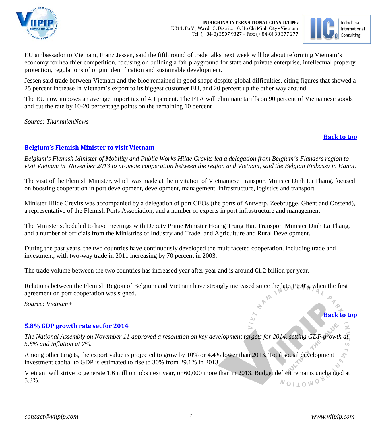



EU ambassador to Vietnam, Franz Jessen, said the fifth round of trade talks next week will be about reforming Vietnam's economy for healthier competition, focusing on building a fair playground for state and private enterprise, intellectual property protection, regulations of origin identification and sustainable development.

Jessen said trade between Vietnam and the bloc remained in good shape despite global difficulties, citing figures that showed a 25 percent increase in Vietnam's export to its biggest customer EU, and 20 percent up the other way around.

The EU now imposes an average import tax of 4.1 percent. The FTA will eliminate tariffs on 90 percent of Vietnamese goods and cut the rate by 10-20 percentage points on the remaining 10 percent

*Source: ThanhnienNews*

# **Back to top**

# <span id="page-6-0"></span>**Belgium's Flemish Minister to visit Vietnam**

*Belgium's Flemish Minister of Mobility and Public Works Hilde Crevits led a delegation from Belgium's Flanders region to visit Vietnam in November 2013 to promote cooperation between the region and Vietnam, said the Belgian Embassy in Hanoi.*

The visit of the Flemish Minister, which was made at the invitation of Vietnamese Transport Minister Dinh La Thang, focused on boosting cooperation in port development, development, management, infrastructure, logistics and transport.

Minister Hilde Crevits was accompanied by a delegation of port CEOs (the ports of Antwerp, Zeebrugge, Ghent and Oostend), a representative of the Flemish Ports Association, and a number of experts in port infrastructure and management.

The Minister scheduled to have meetings with Deputy Prime Minister Hoang Trung Hai, Transport Minister Dinh La Thang, and a number of officials from the Ministries of Industry and Trade, and Agriculture and Rural Development.

During the past years, the two countries have continuously developed the multifaceted cooperation, including trade and investment, with two-way trade in 2011 increasing by 70 percent in 2003.

The trade volume between the two countries has increased year after year and is around €1.2 billion per year.

Relations between the Flemish Region of Belgium and Vietnam have strongly increased since the late 1990's, when the first agreement on port cooperation was signed.

*Source: Vietnam+*

# <span id="page-6-1"></span>**5.8% GDP growth rate set for 2014**

*The National Assembly on November 11 approved a resolution on key development targets for 2014, setting GDP growth at 5.8% and inflation at 7%.* 

Among other targets, the export value is projected to grow by 10% or 4.4% lower than 2013. Total social development investment capital to GDP is estimated to rise to 30% from 29.1% in 2013.

Vietnam will strive to generate 1.6 million jobs next year, or 60,000 more than in 2013. Budget deficit remains unchanged at 5.3%. 5.3%.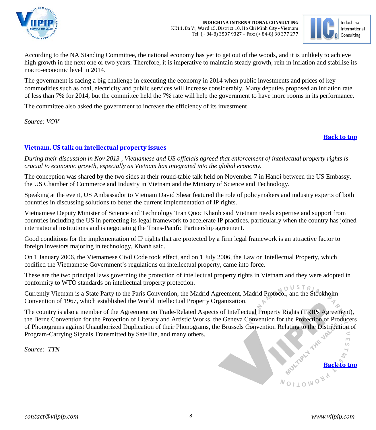



According to the NA Standing Committee, the national economy has yet to get out of the woods, and it is unlikely to achieve high growth in the next one or two years. Therefore, it is imperative to maintain steady growth, rein in inflation and stabilise its macro-economic level in 2014.

The government is facing a big challenge in executing the economy in 2014 when public investments and prices of key commodities such as coal, electricity and public services will increase considerably. Many deputies proposed an inflation rate of less than 7% for 2014, but the committee held the 7% rate will help the government to have more rooms in its performance.

The committee also asked the government to increase the efficiency of its investment

*Source: VOV*

# **Back to top**

# <span id="page-7-0"></span>**Vietnam, US talk on intellectual property issues**

*During their discussion in Nov 2013 , Vietnamese and US officials agreed that enforcement of intellectual property rights is crucial to economic growth, especially as Vietnam has integrated into the global economy.*

The conception was shared by the two sides at their round-table talk held on November 7 in Hanoi between the US Embassy, the US Chamber of Commerce and Industry in Vietnam and the Ministry of Science and Technology.

Speaking at the event, US Ambassador to Vietnam David Shear featured the role of policymakers and industry experts of both countries in discussing solutions to better the current implementation of IP rights.

Vietnamese Deputy Minister of Science and Technology Tran Quoc Khanh said Vietnam needs expertise and support from countries including the US in perfecting its legal framework to accelerate IP practices, particularly when the country has joined international institutions and is negotiating the Trans-Pacific Partnership agreement.

Good conditions for the implementation of IP rights that are protected by a firm legal framework is an attractive factor to foreign investors majoring in technology, Khanh said.

On 1 January 2006, the Vietnamese Civil Code took effect, and on 1 July 2006, the Law on Intellectual Property, which codified the Vietnamese Government's regulations on intellectual property, came into force.

These are the two principal laws governing the protection of intellectual property rights in Vietnam and they were adopted in conformity to WTO standards on intellectual property protection.

 $D$  U S T R Currently Vietnam is a State Party to the Paris Convention, the Madrid Agreement, Madrid Protocol, and the Stockholm Convention of 1967, which established the World Intellectual Property Organization.

The country is also a member of the Agreement on Trade-Related Aspects of Intellectual Property Rights (TRIPs Agreement), the Berne Convention for the Protection of Literary and Artistic Works, the Geneva Convention for the Protection of Producers of Phonograms against Unauthorized Duplication of their Phonograms, the Brussels Convention Relating to the Distribution of Program-Carrying Signals Transmitted by Satellite, and many others.

*Source: TTN*

NOITOMORD

**Back to top**

 $\cup$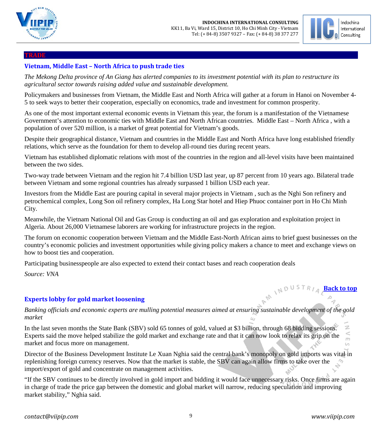



#### <span id="page-8-0"></span>**TRADE**

# **Vietnam, Middle East – North Africa to push trade ties**

*The Mekong Delta province of An Giang has alerted companies to its investment potential with its plan to restructure its agricultural sector towards raising added value and sustainable development.*

Policymakers and businesses from Vietnam, the Middle East and North Africa will gather at a forum in Hanoi on November 4- 5 to seek ways to better their cooperation, especially on economics, trade and investment for common prosperity.

As one of the most important external economic events in Vietnam this year, the forum is a manifestation of the Vietnamese Government's attention to economic ties with Middle East and North African countries. Middle East – North Africa , with a population of over 520 million, is a market of great potential for Vietnam's goods.

Despite their geographical distance, Vietnam and countries in the Middle East and North Africa have long established friendly relations, which serve as the foundation for them to develop all-round ties during recent years.

Vietnam has established diplomatic relations with most of the countries in the region and all-level visits have been maintained between the two sides.

Two-way trade between Vietnam and the region hit 7.4 billion USD last year, up 87 percent from 10 years ago. Bilateral trade between Vietnam and some regional countries has already surpassed 1 billion USD each year.

Investors from the Middle East are pouring capital in several major projects in Vietnam , such as the Nghi Son refinery and petrochemical complex, Long Son oil refinery complex, Ha Long Star hotel and Hiep Phuoc container port in Ho Chi Minh City.

Meanwhile, the Vietnam National Oil and Gas Group is conducting an oil and gas exploration and exploitation project in Algeria. About 26,000 Vietnamese laborers are working for infrastructure projects in the region.

The forum on economic cooperation between Vietnam and the Middle East-North African aims to brief guest businesses on the country's economic policies and investment opportunities while giving policy makers a chance to meet and exchange views on how to boost ties and cooperation.

Participating businesspeople are also expected to extend their contact bases and reach cooperation deals

*Source: VNA*

# <span id="page-8-1"></span>**Experts lobby for gold market loosening**

*Banking officials and economic experts are mulling potential measures aimed at ensuring sustainable development of the gold market*

In the last seven months the State Bank (SBV) sold 65 tonnes of gold, valued at \$3 billion, through 68 bidding sessions.  $\overline{z}$  $\,<\,$ Experts said the move helped stabilize the gold market and exchange rate and that it can now look to relax its grip on the m market and focus more on management.  $\cup$ 

Director of the Business Development Institute Le Xuan Nghia said the central bank's monopoly on gold imports was vital in replenishing foreign currency reserves. Now that the market is stable, the SBV can again allow firms to take over the import/export of gold and concentrate on management activities.

"If the SBV continues to be directly involved in gold import and bidding it would face unnecessary risks. Once firms are again in charge of trade the price gap between the domestic and global market will narrow, reducing speculation and improving market stability," Nghia said.

**Back to top**

MINDUSTRIA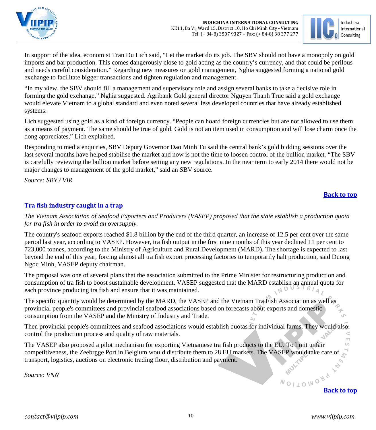



In support of the idea, economist Tran Du Lich said, "Let the market do its job. The SBV should not have a monopoly on gold imports and bar production. This comes dangerously close to gold acting as the country's currency, and that could be perilous and needs careful consideration." Regarding new measures on gold management, Nghia suggested forming a national gold exchange to facilitate bigger transactions and tighten regulation and management.

"In my view, the SBV should fill a management and supervisory role and assign several banks to take a decisive role in forming the gold exchange," Nghia suggested. Agribank Gold general director Nguyen Thanh Truc said a gold exchange would elevate Vietnam to a global standard and even noted several less developed countries that have already established systems.

Lich suggested using gold as a kind of foreign currency. "People can hoard foreign currencies but are not allowed to use them as a means of payment. The same should be true of gold. Gold is not an item used in consumption and will lose charm once the dong appreciates," Lich explained.

Responding to media enquiries, SBV Deputy Governor Dao Minh Tu said the central bank's gold bidding sessions over the last several months have helped stabilise the market and now is not the time to loosen control of the bullion market. "The SBV is carefully reviewing the bullion market before setting any new regulations. In the near term to early 2014 there would not be major changes to management of the gold market," said an SBV source.

*Source: SBY / VIR*

# **Back to top**

# <span id="page-9-0"></span>**Tra fish industry caught in a trap**

*The Vietnam Association of Seafood Exporters and Producers (VASEP) proposed that the state establish a production quota for tra fish in order to avoid an oversupply.*

The country's seafood exports reached \$1.8 billion by the end of the third quarter, an increase of 12.5 per cent over the same period last year, according to VASEP. However, tra fish output in the first nine months of this year declined 11 per cent to 723,000 tonnes, according to the Ministry of Agriculture and Rural Development (MARD). The shortage is expected to last beyond the end of this year, forcing almost all tra fish export processing factories to temporarily halt production, said Duong Ngoc Minh, VASEP deputy chairman.

The proposal was one of several plans that the association submitted to the Prime Minister for restructuring production and consumption of tra fish to boost sustainable development. VASEP suggested that the MARD establish an annual quota for each province producing tra fish and ensure that it was maintained. each province producing tra fish and ensure that it was maintained.

The specific quantity would be determined by the MARD, the VASEP and the Vietnam Tra Fish Association as well as provincial people's committees and provincial seafood associations based on forecasts about exports and domestic consumption from the VASEP and the Ministry of Industry and Trade.

Then provincial people's committees and seafood associations would establish quotas for individual farms. They would also control the production process and quality of raw materials. m

The VASEP also proposed a pilot mechanism for exporting Vietnamese tra fish products to the EU. To limit unfair competitiveness, the Zeebrgge Port in Belgium would distribute them to 28 EU markets. The VASEP would take care of transport, logistics, auctions on electronic trading floor, distribution and payment. L.N.3

*Source: VNN*

*NOILOWOB*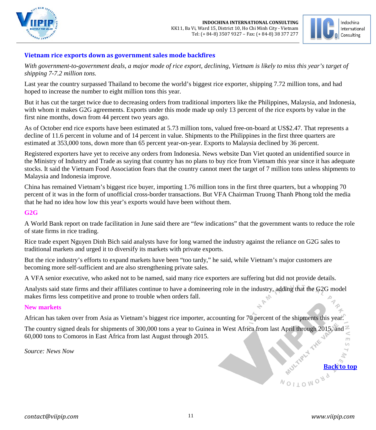



## <span id="page-10-0"></span>**Vietnam rice exports down as government sales mode backfires**

*With government-to-government deals, a major mode of rice export, declining, Vietnam is likely to miss this year's target of shipping 7-7.2 million tons.* 

Last year the country surpassed Thailand to become the world's biggest rice exporter, shipping 7.72 million tons, and had hoped to increase the number to eight million tons this year.

But it has cut the target twice due to decreasing orders from traditional importers like the Philippines, Malaysia, and Indonesia, with whom it makes G2G agreements. Exports under this mode made up only 13 percent of the rice exports by value in the first nine months, down from 44 percent two years ago.

As of October end rice exports have been estimated at 5.73 million tons, valued free-on-board at US\$2.47. That represents a decline of 11.6 percent in volume and of 14 percent in value. Shipments to the Philippines in the first three quarters are estimated at 353,000 tons, down more than 65 percent year-on-year. Exports to Malaysia declined by 36 percent.

Registered exporters have yet to receive any orders from Indonesia. News website Dan Viet quoted an unidentified source in the Ministry of Industry and Trade as saying that country has no plans to buy rice from Vietnam this year since it has adequate stocks. It said the Vietnam Food Association fears that the country cannot meet the target of 7 million tons unless shipments to Malaysia and Indonesia improve.

China has remained Vietnam's biggest rice buyer, importing 1.76 million tons in the first three quarters, but a whopping 70 percent of it was in the form of unofficial cross-border transactions. But VFA Chairman Truong Thanh Phong told the media that he had no idea how low this year's exports would have been without them.

#### **G2G**

A World Bank report on trade facilitation in June said there are "few indications" that the government wants to reduce the role of state firms in rice trading.

Rice trade expert Nguyen Dinh Bich said analysts have for long warned the industry against the reliance on G2G sales to traditional markets and urged it to diversify its markets with private exports.

But the rice industry's efforts to expand markets have been "too tardy," he said, while Vietnam's major customers are becoming more self-sufficient and are also strengthening private sales.

A VFA senior executive, who asked not to be named, said many rice exporters are suffering but did not provide details.

Analysts said state firms and their affiliates continue to have a domineering role in the industry, adding that the G2G model makes firms less competitive and prone to trouble when orders fall.

#### **New markets**

African has taken over from Asia as Vietnam's biggest rice importer, accounting for 70 percent of the shipments this year.

The country signed deals for shipments of 300,000 tons a year to Guinea in West Africa from last April through 2015, and 60,000 tons to Comoros in East Africa from last August through 2015.

*Source: News Now*

NOILONO

**Back to top**

**S**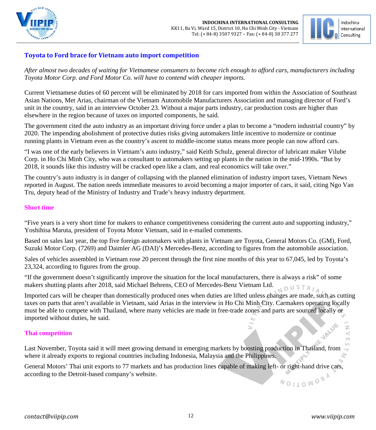



# <span id="page-11-0"></span>**Toyota to Ford brace for Vietnam auto import competition**

*After almost two decades of waiting for Vietnamese consumers to become rich enough to afford cars, manufacturers including Toyota Motor Corp. and Ford Motor Co. will have to contend with cheaper imports.*

Current Vietnamese duties of 60 percent will be eliminated by 2018 for cars imported from within the Association of Southeast Asian Nations, Met Arias, chairman of the Vietnam Automobile Manufacturers Association and managing director of Ford's unit in the country, said in an interview October 23. Without a major parts industry, car production costs are higher than elsewhere in the region because of taxes on imported components, he said.

The government cited the auto industry as an important driving force under a plan to become a "modern industrial country" by 2020. The impending abolishment of protective duties risks giving automakers little incentive to modernize or continue running plants in Vietnam even as the country's ascent to middle-income status means more people can now afford cars.

"I was one of the early believers in Vietnam's auto industry," said Keith Schulz, general director of lubricant maker Vilube Corp. in Ho Chi Minh City, who was a consultant to automakers setting up plants in the nation in the mid-1990s. "But by 2018, it sounds like this industry will be cracked open like a clam, and real economics will take over."

The country's auto industry is in danger of collapsing with the planned elimination of industry import taxes, Vietnam News reported in August. The nation needs immediate measures to avoid becoming a major importer of cars, it said, citing Ngo Van Tru, deputy head of the Ministry of Industry and Trade's heavy industry department.

## **Short time**

"Five years is a very short time for makers to enhance competitiveness considering the current auto and supporting industry," Yoshihisa Maruta, president of Toyota Motor Vietnam, said in e-mailed comments.

Based on sales last year, the top five foreign automakers with plants in Vietnam are Toyota, General Motors Co. (GM), Ford, Suzuki Motor Corp. (7269) and Daimler AG (DAI)'s Mercedes-Benz, according to figures from the automobile association.

Sales of vehicles assembled in Vietnam rose 20 percent through the first nine months of this year to 67,045, led by Toyota's 23,324, according to figures from the group.

"If the government doesn't significantly improve the situation for the local manufacturers, there is always a risk" of some makers shutting plants after 2018, said Michael Behrens, CEO of Mercedes-Benz Vietnam Ltd. NDUSTRIA

Imported cars will be cheaper than domestically produced ones when duties are lifted unless changes are made, such as cutting taxes on parts that aren't available in Vietnam, said Arias in the interview in Ho Chi Minh City. Carmakers operating locally must be able to compete with Thailand, where many vehicles are made in free-trade zones and parts are sourced locally or imported without duties, he said.

# **Thai competition**

Last November, Toyota said it will meet growing demand in emerging markets by boosting production in Thailand, from where it already exports to regional countries including Indonesia, Malaysia and the Philippines.

General Motors' Thai unit exports to 77 markets and has production lines capable of making left- or right-hand drive cars, according to the Detroit-based company's website.WOITOMOAD

Z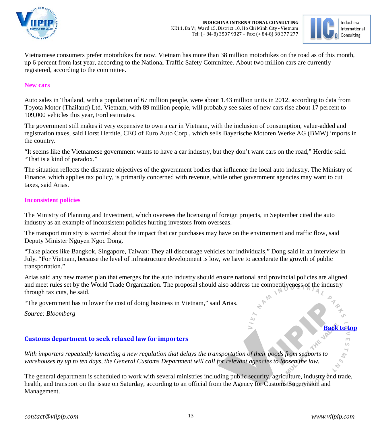



Vietnamese consumers prefer motorbikes for now. Vietnam has more than 38 million motorbikes on the road as of this month, up 6 percent from last year, according to the National Traffic Safety Committee. About two million cars are currently registered, according to the committee.

#### **New cars**

Auto sales in Thailand, with a population of 67 million people, were about 1.43 million units in 2012, according to data from Toyota Motor (Thailand) Ltd. Vietnam, with 89 million people, will probably see sales of new cars rise about 17 percent to 109,000 vehicles this year, Ford estimates.

The government still makes it very expensive to own a car in Vietnam, with the inclusion of consumption, value-added and registration taxes, said Horst Herdtle, CEO of Euro Auto Corp., which sells Bayerische Motoren Werke AG (BMW) imports in the country.

"It seems like the Vietnamese government wants to have a car industry, but they don't want cars on the road," Herdtle said. "That is a kind of paradox."

The situation reflects the disparate objectives of the government bodies that influence the local auto industry. The Ministry of Finance, which applies tax policy, is primarily concerned with revenue, while other government agencies may want to cut taxes, said Arias.

#### **Inconsistent policies**

The Ministry of Planning and Investment, which oversees the licensing of foreign projects, in September cited the auto industry as an example of inconsistent policies hurting investors from overseas.

The transport ministry is worried about the impact that car purchases may have on the environment and traffic flow, said Deputy Minister Nguyen Ngoc Dong.

"Take places like Bangkok, Singapore, Taiwan: They all discourage vehicles for individuals," Dong said in an interview in July. "For Vietnam, because the level of infrastructure development is low, we have to accelerate the growth of public transportation."

Arias said any new master plan that emerges for the auto industry should ensure national and provincial policies are aligned and meet rules set by the World Trade Organization. The proposal should also address the competitiveness of the industry through tax cuts, he said.

"The government has to lower the cost of doing business in Vietnam," said Arias.

*Source: Bloomberg*

## <span id="page-12-0"></span>**Customs department to seek relaxed law for importers**

*With importers repeatedly lamenting a new regulation that delays the transportation of their goods from seaports to warehouses by up to ten days, the General Customs Department will call for relevant agencies to loosen the law.*

The general department is scheduled to work with several ministries including public security, agriculture, industry and trade, health, and transport on the issue on Saturday, according to an official from the Agency for Customs Supervision and Management.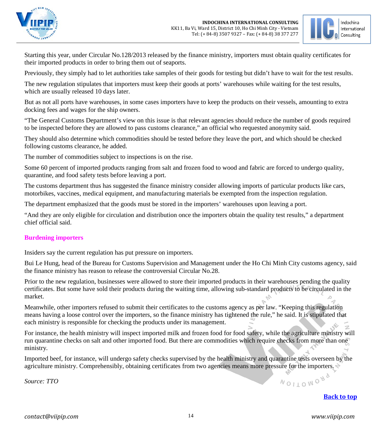



Starting this year, under Circular No.128/2013 released by the finance ministry, importers must obtain quality certificates for their imported products in order to bring them out of seaports.

Previously, they simply had to let authorities take samples of their goods for testing but didn't have to wait for the test results.

The new regulation stipulates that importers must keep their goods at ports' warehouses while waiting for the test results, which are usually released 10 days later.

But as not all ports have warehouses, in some cases importers have to keep the products on their vessels, amounting to extra docking fees and wages for the ship owners.

"The General Customs Department's view on this issue is that relevant agencies should reduce the number of goods required to be inspected before they are allowed to pass customs clearance," an official who requested anonymity said.

They should also determine which commodities should be tested before they leave the port, and which should be checked following customs clearance, he added.

The number of commodities subject to inspections is on the rise.

Some 60 percent of imported products ranging from salt and frozen food to wood and fabric are forced to undergo quality, quarantine, and food safety tests before leaving a port.

The customs department thus has suggested the finance ministry consider allowing imports of particular products like cars, motorbikes, vaccines, medical equipment, and manufacturing materials be exempted from the inspection regulation.

The department emphasized that the goods must be stored in the importers' warehouses upon leaving a port.

"And they are only eligible for circulation and distribution once the importers obtain the quality test results," a department chief official said.

## **Burdening importers**

Insiders say the current regulation has put pressure on importers.

Bui Le Hung, head of the Bureau for Customs Supervision and Management under the Ho Chi Minh City customs agency, said the finance ministry has reason to release the controversial Circular No.28.

Prior to the new regulation, businesses were allowed to store their imported products in their warehouses pending the quality certificates. But some have sold their products during the waiting time, allowing sub-standard products to be circulated in the market.

Meanwhile, other importers refused to submit their certificates to the customs agency as per law. "Keeping this regulation means having a loose control over the importers, so the finance ministry has tightened the rule," he said. It is stipulated that each ministry is responsible for checking the products under its management.

For instance, the health ministry will inspect imported milk and frozen food for food safety, while the agriculture ministry will run quarantine checks on salt and other imported food. But there are commodities which require checks from more than one ministry.

Imported beef, for instance, will undergo safety checks supervised by the health ministry and quarantine tests overseen by the agriculture ministry. Comprehensibly, obtaining certificates from two agencies means more pressure for the importers.

*Source: TTO*

# **Back to top**

WOILOWOUD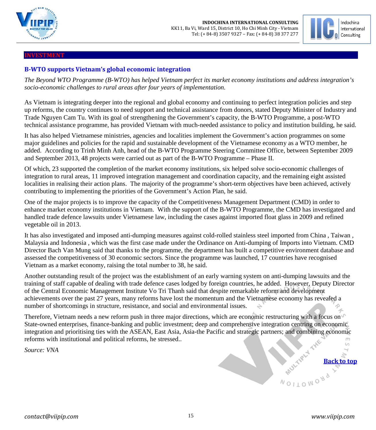



#### <span id="page-14-0"></span>**INVESTMENT**

#### <span id="page-14-1"></span>**B-WTO supports Vietnam's global economic integration**

*The Beyond WTO Programme (B-WTO) has helped Vietnam perfect its market economy institutions and address integration's socio-economic challenges to rural areas after four years of implementation*.

As Vietnam is integrating deeper into the regional and global economy and continuing to perfect integration policies and step up reforms, the country continues to need support and technical assistance from donors, stated Deputy Minister of Industry and Trade Nguyen Cam Tu. With its goal of strengthening the Government's capacity, the B-WTO Programme, a post-WTO technical assistance programme, has provided Vietnam with much-needed assistance to policy and institution building, he said.

It has also helped Vietnamese ministries, agencies and localities implement the Government's action programmes on some major guidelines and policies for the rapid and sustainable development of the Vietnamese economy as a WTO member, he added. According to Trinh Minh Anh, head of the B-WTO Programme Steering Committee Office, between September 2009 and September 2013, 48 projects were carried out as part of the B-WTO Programme – Phase II.

Of which, 23 supported the completion of the market economy institutions, six helped solve socio-economic challenges of integration to rural areas, 11 improved integration management and coordination capacity, and the remaining eight assisted localities in realising their action plans. The majority of the programme's short-term objectives have been achieved, actively contributing to implementing the priorities of the Government's Action Plan, he said.

One of the major projects is to improve the capacity of the Competitiveness Management Department (CMD) in order to enhance market economy institutions in Vietnam. With the support of the B-WTO Programme, the CMD has investigated and handled trade defence lawsuits under Vietnamese law, including the cases against imported float glass in 2009 and refined vegetable oil in 2013.

It has also investigated and imposed anti-dumping measures against cold-rolled stainless steel imported from China , Taiwan , Malaysia and Indonesia , which was the first case made under the Ordinance on Anti-dumping of Imports into Vietnam. CMD Director Bach Van Mung said that thanks to the programme, the department has built a competitive environment database and assessed the competitiveness of 30 economic sectors. Since the programme was launched, 17 countries have recognised Vietnam as a market economy, raising the total number to 38, he said.

Another outstanding result of the project was the establishment of an early warning system on anti-dumping lawsuits and the training of staff capable of dealing with trade defence cases lodged by foreign countries, he added. However, Deputy Director of the Central Economic Management Institute Vo Tri Thanh said that despite remarkable reform and development achievements over the past 27 years, many reforms have lost the momentum and the Vietnamese economy has revealed a number of shortcomings in structure, resistance, and social and environmental issues.

Therefore, Vietnam needs a new reform push in three major directions, which are economic restructuring with a focus on State-owned enterprises, finance-banking and public investment; deep and comprehensive integration centring on economic integration and prioritising ties with the ASEAN, East Asia, Asia-the Pacific and strategic partners; and combining economic reforms with institutional and political reforms, he stressed.. m  $\omega$ 

*Source: VNA*

NOITOMOAD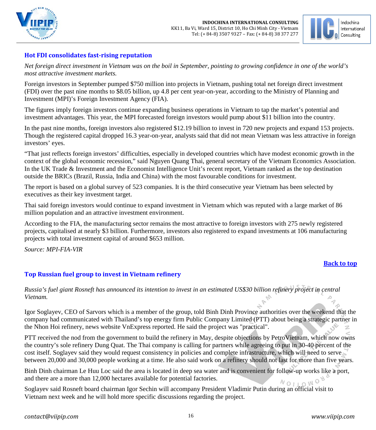



# <span id="page-15-0"></span>**Hot FDI consolidates fast-rising reputation**

*Net foreign direct investment in Vietnam was on the boil in September, pointing to growing confidence in one of the world's most attractive investment markets.* 

Foreign investors in September pumped \$750 million into projects in Vietnam, pushing total net foreign direct investment (FDI) over the past nine months to \$8.05 billion, up 4.8 per cent year-on-year, according to the Ministry of Planning and Investment (MPI)'s Foreign Investment Agency (FIA).

The figures imply foreign investors continue expanding business operations in Vietnam to tap the market's potential and investment advantages. This year, the MPI forecasted foreign investors would pump about \$11 billion into the country.

In the past nine months, foreign investors also registered \$12.19 billion to invest in 720 new projects and expand 153 projects. Though the registered capital dropped 16.3 year-on-year, analysts said that did not mean Vietnam was less attractive in foreign investors' eyes.

"That just reflects foreign investors' difficulties, especially in developed countries which have modest economic growth in the context of the global economic recession," said Nguyen Quang Thai, general secretary of the Vietnam Economics Association. In the UK Trade & Investment and the Economist Intelligence Unit's recent report, Vietnam ranked as the top destination outside the BRICs (Brazil, Russia, India and China) with the most favourable conditions for investment.

The report is based on a global survey of 523 companies. It is the third consecutive year Vietnam has been selected by executives as their key investment target.

Thai said foreign investors would continue to expand investment in Vietnam which was reputed with a large market of 86 million population and an attractive investment environment.

According to the FIA, the manufacturing sector remains the most attractive to foreign investors with 275 newly registered projects, capitalised at nearly \$3 billion. Furthermore, investors also registered to expand investments at 106 manufacturing projects with total investment capital of around \$653 million.

*Source: MPI-FIA-VIR*

# **Back to top**

# <span id="page-15-1"></span>**Top Russian fuel group to invest in Vietnam refinery**

*Russia's fuel giant Rosneft has announced its intention to invest in an estimated US\$30 billion refinery project in central Vietnam.*

Igor Soglayev, CEO of Sarvors which is a member of the group, told Binh Dinh Province authorities over the weekend that the company had communicated with Thailand's top energy firm Public Company Limited (PTT) about being a strategic partner in the Nhon Hoi refinery, news website VnExpress reported. He said the project was "practical".

PTT received the nod from the government to build the refinery in May, despite objections by PetroVietnam, which now owns the country's sole refinery Dung Quat. The Thai company is calling for partners while agreeing to put in 30-40 percent of the cost itself. Soglayev said they would request consistency in policies and complete infrastructure, which will need to serve between 20,000 and 30,000 people working at a time. He also said work on a refinery should not last for more than five years.

Binh Dinh chairman Le Huu Loc said the area is located in deep sea water and is convenient for follow-up works like a port, and there are a more than 12,000 hectares available for potential factories.

Soglayev said Rosneft board chairman Igor Sechin will accompany President Vladimir Putin during an official visit to Vietnam next week and he will hold more specific discussions regarding the project.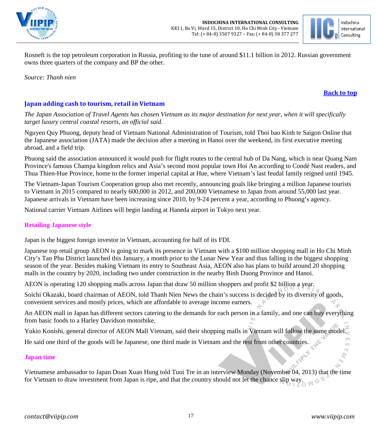



Rosneft is the top petroleum corporation in Russia, profiting to the tune of around \$11.1 billion in 2012. Russian government owns three quarters of the company and BP the other.

*Source: Thanh nien*

# **Back to top**

# <span id="page-16-0"></span>**Japan adding cash to tourism, retail in Vietnam**

*The Japan Association of Travel Agents has chosen Vietnam as its major destination for next year, when it will specifically target luxury central coastal resorts, an official said.*

Nguyen Quy Phuong, deputy head of Vietnam National Administration of Tourism, told Thoi bao Kinh te Saigon Online that the Japanese association (JATA) made the decision after a meeting in Hanoi over the weekend, its first executive meeting abroad, and a field trip.

Phuong said the association announced it would push for flight routes to the central hub of Da Nang, which is near Quang Nam Province's famous Champa kingdom relics and Asia's second most popular town Hoi An according to Condé Nast readers, and Thua Thien-Hue Province, home to the former imperial capital at Hue, where Vietnam's last feudal family reigned until 1945.

The Vietnam-Japan Tourism Cooperation group also met recently, announcing goals like bringing a million Japanese tourists to Vietnam in 2015 compared to nearly 600,000 in 2012, and 200,000 Vietnamese to Japan from around 55,000 last year. Japanese arrivals in Vietnam have been increasing since 2010, by 9-24 percent a year, according to Phuong's agency.

National carrier Vietnam Airlines will begin landing at Haneda airport in Tokyo next year.

# **Retailing Japanese style**

Japan is the biggest foreign investor in Vietnam, accounting for half of its FDI.

Japanese top retail group AEON is going to mark its presence in Vietnam with a \$100 million shopping mall in Ho Chi Minh City's Tan Phu District launched this January, a month prior to the Lunar New Year and thus falling in the biggest shopping season of the year. Besides making Vietnam its entry to Southeast Asia, AEON also has plans to build around 20 shopping malls in the country by 2020, including two under construction in the nearby Binh Duong Province and Hanoi.

AEON is operating 120 shopping malls across Japan that draw 50 million shoppers and profit \$2 billion a year.

Soichi Okazaki, board chairman of AEON, told Thanh Nien News the chain's success is decided by its diversity of goods, convenient services and mostly prices, which are affordable to average income earners.

An AEON mall in Japan has different sectors catering to the demands for each person in a family, and one can buy everything from basic foods to a Harley Davidson motorbike.

Yukio Konishi, general director of AEON Mall Vietnam, said their shopping malls in Vietnam will follow the same model.

He said one third of the goods will be Japanese, one third made in Vietnam and the rest from other countries.

# **Japan time**

Vietnamese ambassador to Japan Doan Xuan Hung told Tuoi Tre in an interview Monday (November 04, 2013) that the time for Vietnam to draw investment from Japan is ripe, and that the country should not let the chance slip way. In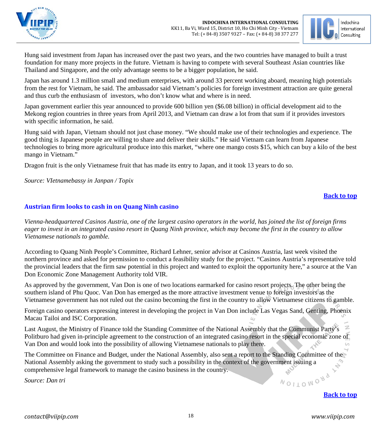



Hung said investment from Japan has increased over the past two years, and the two countries have managed to built a trust foundation for many more projects in the future. Vietnam is having to compete with several Southeast Asian countries like Thailand and Singapore, and the only advantage seems to be a bigger population, he said.

Japan has around 1.3 million small and medium enterprises, with around 33 percent working aboard, meaning high potentials from the rest for Vietnam, he said. The ambassador said Vietnam's policies for foreign investment attraction are quite general and thus curb the enthusiasm of investors, who don't know what and where is in need.

Japan government earlier this year announced to provide 600 billion yen (\$6.08 billion) in official development aid to the Mekong region countries in three years from April 2013, and Vietnam can draw a lot from that sum if it provides investors with specific information, he said.

Hung said with Japan, Vietnam should not just chase money. "We should make use of their technologies and experience. The good thing is Japanese people are willing to share and deliver their skills." He said Vietnam can learn from Japanese technologies to bring more agricultural produce into this market, "where one mango costs \$15, which can buy a kilo of the best mango in Vietnam."

Dragon fruit is the only Vietnamese fruit that has made its entry to Japan, and it took 13 years to do so.

*Source: VIetnamebassy in Janpan / Topix*

# **Back to top**

## <span id="page-17-0"></span>**Austrian firm looks to cash in on Quang Ninh casino**

*Vienna-headquartered Casinos Austria, one of the largest casino operators in the world, has joined the list of foreign firms eager to invest in an integrated casino resort in Quang Ninh province, which may become the first in the country to allow Vietnamese nationals to gamble.*

According to Quang Ninh People's Committee, Richard Lehner, senior advisor at Casinos Austria, last week visited the northern province and asked for permission to conduct a feasibility study for the project. "Casinos Austria's representative told the provincial leaders that the firm saw potential in this project and wanted to exploit the opportunity here," a source at the Van Don Economic Zone Management Authority told VIR.

As approved by the government, Van Don is one of two locations earmarked for casino resort projects. The other being the southern island of Phu Quoc. Van Don has emerged as the more attractive investment venue to foreign investors as the Vietnamese government has not ruled out the casino becoming the first in the country to allow Vietnamese citizens to gamble.

Foreign casino operators expressing interest in developing the project in Van Don include Las Vegas Sand, Genting, Phoenix Macau Tailoi and ISC Corporation.

Last August, the Ministry of Finance told the Standing Committee of the National Assembly that the Communist Party's Politburo had given in-principle agreement to the construction of an integrated casino resort in the special economic zone of Van Don and would look into the possibility of allowing Vietnamese nationals to play there.  $\cup$ 

The Committee on Finance and Budget, under the National Assembly, also sent a report to the Standing Committee of the National Assembly asking the government to study such a possibility in the context of the government issuing a comprehensive legal framework to manage the casino business in the country. NOITOMOAD

*Source: Dan tri*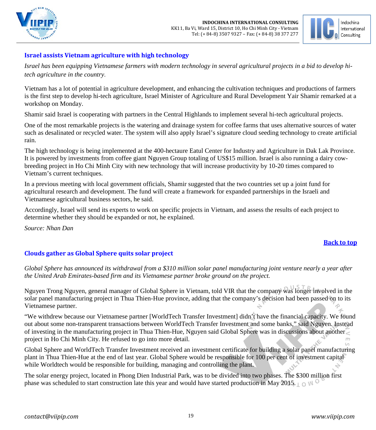



# <span id="page-18-0"></span>**Israel assists Vietnam agriculture with high technology**

*Israel has been equipping Vietnamese farmers with modern technology in several agricultural projects in a bid to develop hitech agriculture in the country*.

Vietnam has a lot of potential in agriculture development, and enhancing the cultivation techniques and productions of farmers is the first step to develop hi-tech agriculture, Israel Minister of Agriculture and Rural Development Yair Shamir remarked at a workshop on Monday.

Shamir said Israel is cooperating with partners in the Central Highlands to implement several hi-tech agricultural projects.

One of the most remarkable projects is the watering and drainage system for coffee farms that uses alternative sources of water such as desalinated or recycled water. The system will also apply Israel's signature cloud seeding technology to create artificial rain.

The high technology is being implemented at the 400-hectaure Eatul Center for Industry and Agriculture in Dak Lak Province. It is powered by investments from coffee giant Nguyen Group totaling of US\$15 million. Israel is also running a dairy cowbreeding project in Ho Chi Minh City with new technology that will increase productivity by 10-20 times compared to Vietnam's current techniques.

In a previous meeting with local government officials, Shamir suggested that the two countries set up a joint fund for agricultural research and development. The fund will create a framework for expanded partnerships in the Israeli and Vietnamese agricultural business sectors, he said.

Accordingly, Israel will send its experts to work on specific projects in Vietnam, and assess the results of each project to determine whether they should be expanded or not, he explained.

*Source: Nhan Dan*

# **Back to top**

# <span id="page-18-1"></span>**Clouds gather as Global Sphere quits solar project**

*Global Sphere has announced its withdrawal from a \$310 million solar panel manufacturing joint venture nearly a year after the United Arab Emirates-based firm and its Vietnamese partner broke ground on the project.*

Nguyen Trong Nguyen, general manager of Global Sphere in Vietnam, told VIR that the company was longer involved in the solar panel manufacturing project in Thua Thien-Hue province, adding that the company's decision had been passed on to its Vietnamese partner.

"We withdrew because our Vietnamese partner [WorldTech Transfer Investment] didn't have the financial capacity. We found out about some non-transparent transactions between WorldTech Transfer Investment and some banks," said Nguyen. Instead of investing in the manufacturing project in Thua Thien-Hue, Nguyen said Global Sphere was in discussions about another project in Ho Chi Minh City. He refused to go into more detail.

Global Sphere and WorldTech Transfer Investment received an investment certificate for building a solar panel manufacturing plant in Thua Thien-Hue at the end of last year. Global Sphere would be responsible for 100 per cent of investment capital while Worldtech would be responsible for building, managing and controlling the plant.

The solar energy project, located in Phong Dien Industrial Park, was to be divided into two phases. The \$300 million first phase was scheduled to start construction late this year and would have started production in May 2015.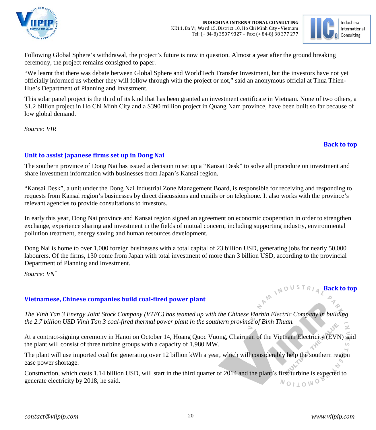



Following Global Sphere's withdrawal, the project's future is now in question. Almost a year after the ground breaking ceremony, the project remains consigned to paper.

"We learnt that there was debate between Global Sphere and WorldTech Transfer Investment, but the investors have not yet officially informed us whether they will follow through with the project or not," said an anonymous official at Thua Thien-Hue's Department of Planning and Investment.

This solar panel project is the third of its kind that has been granted an investment certificate in Vietnam. None of two others, a \$1.2 billion project in Ho Chi Minh City and a \$390 million project in Quang Nam province, have been built so far because of low global demand.

*Source: VIR*

## **Back to top**

**Back to top**

NAMINDUSTR

# <span id="page-19-0"></span>**Unit to assist Japanese firms set up in Dong Nai**

The southern province of Dong Nai has issued a decision to set up a "Kansai Desk" to solve all procedure on investment and share investment information with businesses from Japan's Kansai region.

"Kansai Desk", a unit under the Dong Nai Industrial Zone Management Board, is responsible for receiving and responding to requests from Kansai region's businesses by direct discussions and emails or on telephone. It also works with the province's relevant agencies to provide consultations to investors.

In early this year, Dong Nai province and Kansai region signed an agreement on economic cooperation in order to strengthen exchange, experience sharing and investment in the fields of mutual concern, including supporting industry, environmental pollution treatment, energy saving and human resources development.

Dong Nai is home to over 1,000 foreign businesses with a total capital of 23 billion USD, generating jobs for nearly 50,000 labourers. Of the firms, 130 come from Japan with total investment of more than 3 billion USD, according to the provincial Department of Planning and Investment.

*Source: VN<sup>+</sup>*

# <span id="page-19-1"></span>**Vietnamese, Chinese companies build coal-fired power plant**

*The Vinh Tan 3 Energy Joint Stock Company (VTEC) has teamed up with the Chinese Harbin Electric Company in building the 2.7 billion USD Vinh Tan 3 coal-fired thermal power plant in the southern province of Binh Thuan.* 

At a contract-signing ceremony in Hanoi on October 14, Hoang Quoc Vuong, Chairman of the Vietnam Electricity (EVN) said the plant will consist of three turbine groups with a capacity of 1,980 MW.

The plant will use imported coal for generating over 12 billion kWh a year, which will considerably help the southern region ease power shortage.

Construction, which costs 1.14 billion USD, will start in the third quarter of 2014 and the plant's first turbine is expected to generate electricity by 2018, he said. NOILONO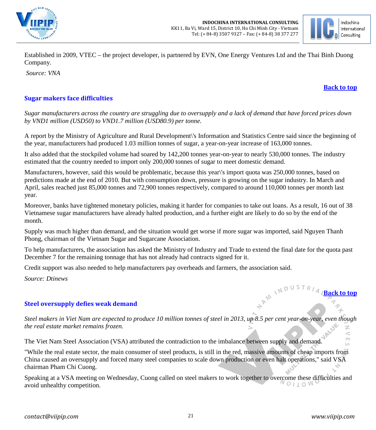



Established in 2009, VTEC – the project developer, is partnered by EVN, One Energy Ventures Ltd and the Thai Binh Duong Company.

*Source: VNA*

# **Back to top**

# <span id="page-20-0"></span>**Sugar makers face difficulties**

*Sugar manufacturers across the country are struggling due to oversupply and a lack of demand that have forced prices down by VND1 million (USD50) to VND1.7 million (USD80.9) per tonne.*

A report by the Ministry of Agriculture and Rural Development\'s Information and Statistics Centre said since the beginning of the year, manufacturers had produced 1.03 million tonnes of sugar, a year-on-year increase of 163,000 tonnes.

It also added that the stockpiled volume had soared by 142,200 tonnes year-on-year to nearly 530,000 tonnes. The industry estimated that the country needed to import only 200,000 tonnes of sugar to meet domestic demand.

Manufacturers, however, said this would be problematic, because this year\'s import quota was 250,000 tonnes, based on predictions made at the end of 2010. But with consumption down, pressure is growing on the sugar industry. In March and April, sales reached just 85,000 tonnes and 72,900 tonnes respectively, compared to around 110,000 tonnes per month last year.

Moreover, banks have tightened monetary policies, making it harder for companies to take out loans. As a result, 16 out of 38 Vietnamese sugar manufacturers have already halted production, and a further eight are likely to do so by the end of the month.

Supply was much higher than demand, and the situation would get worse if more sugar was imported, said Nguyen Thanh Phong, chairman of the Vietnam Sugar and Sugarcane Association.

To help manufacturers, the association has asked the Ministry of Industry and Trade to extend the final date for the quota past December 7 for the remaining tonnage that has not already had contracts signed for it.

Credit support was also needed to help manufacturers pay overheads and farmers, the association said.

*Source: Dtinews*

# <span id="page-20-1"></span>**Steel oversupply defies weak demand**

*Steel makers in Viet Nam are expected to produce 10 million tonnes of steel in 2013, up 8.5 per cent year-on-year, even though the real estate market remains frozen.*  $\mathbb Z$ 

The Viet Nam Steel Association (VSA) attributed the contradiction to the imbalance between supply and demand.

"While the real estate sector, the main consumer of steel products, is still in the red, massive amounts of cheap imports from China caused an oversupply and forced many steel companies to scale down production or even halt operations," said VSA chairman Pham Chi Cuong.

Speaking at a VSA meeting on Wednesday, Cuong called on steel makers to work together to overcome these difficulties and avoid unhealthy competition. avoid unhealthy competition.

**Back to top**

 $\,<\,$  $\Gamma\Gamma$ 

INDUSTR

NAM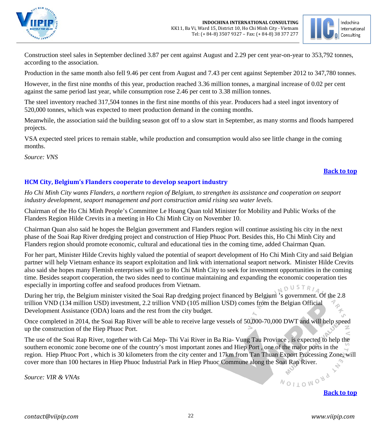



Construction steel sales in September declined 3.87 per cent against August and 2.29 per cent year-on-year to 353,792 tonnes, according to the association.

Production in the same month also fell 9.46 per cent from August and 7.43 per cent against September 2012 to 347,780 tonnes.

However, in the first nine months of this year, production reached 3.36 million tonnes, a marginal increase of 0.02 per cent against the same period last year, while consumption rose 2.46 per cent to 3.38 million tonnes.

The steel inventory reached 317,504 tonnes in the first nine months of this year. Producers had a steel ingot inventory of 520,000 tonnes, which was expected to meet production demand in the coming months.

Meanwhile, the association said the building season got off to a slow start in September, as many storms and floods hampered projects.

VSA expected steel prices to remain stable, while production and consumption would also see little change in the coming months.

*Source: VNS*

# **Back to top**

# <span id="page-21-0"></span>**HCM City, Belgium's Flanders cooperate to develop seaport industry**

*Ho Chi Minh City wants Flanders, a northern region of Belgium, to strengthen its assistance and cooperation on seaport industry development, seaport management and port construction amid rising sea water levels.*

Chairman of the Ho Chi Minh People's Committee Le Hoang Quan told Minister for Mobility and Public Works of the Flanders Region Hilde Crevits in a meeting in Ho Chi Minh City on November 10.

Chairman Quan also said he hopes the Belgian government and Flanders region will continue assisting his city in the next phase of the Soai Rap River dredging project and construction of Hiep Phuoc Port. Besides this, Ho Chi Minh City and Flanders region should promote economic, cultural and educational ties in the coming time, added Chairman Quan.

For her part, Minister Hilde Crevits highly valued the potential of seaport development of Ho Chi Minh City and said Belgian partner will help Vietnam enhance its seaport exploitation and link with international seaport network. Minister Hilde Crevits also said she hopes many Flemish enterprises will go to Ho Chi Minh City to seek for investment opportunities in the coming time. Besides seaport cooperation, the two sides need to continue maintaining and expanding the economic cooperation ties especially in importing coffee and seafood produces from Vietnam.

Especially in importing corree and searood produces from vietnam.<br>During her trip, the Belgium minister visited the Soai Rap dredging project financed by Belgium 's government. Of the 2.8 trillion VND (134 million USD) investment, 2.2 trillion VND (105 million USD) comes from the Belgian Official Development Assistance (ODA) loans and the rest from the city budget.

Once completed in 2014, the Soai Rap River will be able to receive large vessels of 50,000-70,000 DWT and will help speed up the construction of the Hiep Phuoc Port.

The use of the Soai Rap River, together with Cai Mep- Thi Vai River in Ba Ria- Vung Tau Province , is expected to help the southern economic zone become one of the country's most important zones and Hiep Port , one of the major ports in the region. Hiep Phuoc Port , which is 30 kilometers from the city center and 17km from Tan Thuan Export Processing Zone, will cover more than 100 hectares in Hiep Phuoc Industrial Park in Hiep Phuoc Commune along the Soai Rap River.

*Source: VIR & VNAs*

*N***OILOWO<sup>NO</sup><br>Back to top**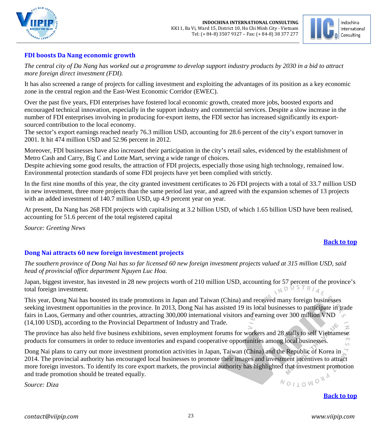



# <span id="page-22-0"></span>**FDI boosts Da Nang economic growth**

*The central city of Da Nang has worked out a programme to develop support industry products by 2030 in a bid to attract more foreign direct investment (FDI).*

It has also screened a range of projects for calling investment and exploiting the advantages of its position as a key economic zone in the central region and the East-West Economic Corridor (EWEC).

Over the past five years, FDI enterprises have fostered local economic growth, created more jobs, boosted exports and encouraged technical innovation, especially in the support industry and commercial services. Despite a slow increase in the number of FDI enterprises involving in producing for-export items, the FDI sector has increased significantly its exportsourced contribution to the local economy.

The sector's export earnings reached nearly 76.3 million USD, accounting for 28.6 percent of the city's export turnover in 2001. It hit 474 million USD and 52.96 percent in 2012.

Moreover, FDI businesses have also increased their participation in the city's retail sales, evidenced by the establishment of Metro Cash and Carry, Big C and Lotte Mart, serving a wide range of choices.

Despite achieving some good results, the attraction of FDI projects, especially those using high technology, remained low. Environmental protection standards of some FDI projects have yet been complied with strictly.

In the first nine months of this year, the city granted investment certificates to 26 FDI projects with a total of 33.7 million USD in new investment, three more projects than the same period last year, and agreed with the expansion schemes of 13 projects with an added investment of 140.7 million USD, up 4.9 percent year on year.

At present, Da Nang has 268 FDI projects with capitalising at 3.2 billion USD, of which 1.65 billion USD have been realised, accounting for 51.6 percent of the total registered capital

*Source: Greeting News*

# **Back to top**

# <span id="page-22-1"></span>**Dong Nai attracts 60 new foreign investment projects**

*The southern province of Dong Nai has so far licensed 60 new foreign investment projects valued at 315 million USD, said head of provincial office department Nguyen Luc Hoa.* 

Japan, biggest investor, has invested in 28 new projects worth of 210 million USD, accounting for 57 percent of the province's total foreign investment. total foreign investment.

This year, Dong Nai has boosted its trade promotions in Japan and Taiwan (China) and received many foreign businesses seeking investment opportunities in the province. In 2013, Dong Nai has assisted 19 its local businesses to participate in trade fairs in Laos, Germany and other countries, attracting 300,000 international visitors and earning over 300 million VND (14,100 USD), according to the Provincial Department of Industry and Trade.  $\mathbb Z$ 

The province has also held five business exhibitions, seven employment forums for workers and 28 stalls to sell Vietnamese products for consumers in order to reduce inventories and expand cooperative opportunities among local businesses. m  $\cup$ 

Dong Nai plans to carry out more investment promotion activities in Japan, Taiwan (China) and the Republic of Korea in 2014. The provincial authority has encouraged local businesses to promote their images and investment incentives to attract more foreign investors. To identify its core export markets, the provincial authority has highlighted that investment promotion and trade promotion should be treated equally. NOITOMOAD

*Source: Diza*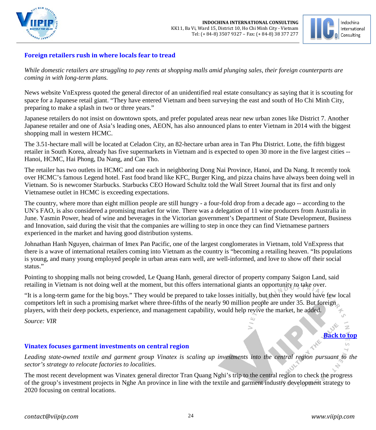



# <span id="page-23-0"></span>**Foreign retailers rush in where locals fear to tread**

*While domestic retailers are struggling to pay rents at shopping malls amid plunging sales, their foreign counterparts are coming in with long-term plans.*

News website VnExpress quoted the general director of an unidentified real estate consultancy as saying that it is scouting for space for a Japanese retail giant. "They have entered Vietnam and been surveying the east and south of Ho Chi Minh City, preparing to make a splash in two or three years."

Japanese retailers do not insist on downtown spots, and prefer populated areas near new urban zones like District 7. Another Japanese retailer and one of Asia's leading ones, AEON, has also announced plans to enter Vietnam in 2014 with the biggest shopping mall in western HCMC.

The 3.51-hectare mall will be located at Celadon City, an 82-hectare urban area in Tan Phu District. Lotte, the fifth biggest retailer in South Korea, already has five supermarkets in Vietnam and is expected to open 30 more in the five largest cities -- Hanoi, HCMC, Hai Phong, Da Nang, and Can Tho.

The retailer has two outlets in HCMC and one each in neighboring Dong Nai Province, Hanoi, and Da Nang. It recently took over HCMC's famous Legend hotel. Fast food brand like KFC, Burger King, and pizza chains have always been doing well in Vietnam. So is newcomer Starbucks. Starbucks CEO Howard Schultz told the Wall Street Journal that its first and only Vietnamese outlet in HCMC is exceeding expectations.

The country, where more than eight million people are still hungry - a four-fold drop from a decade ago -- according to the UN's FAO, is also considered a promising market for wine. There was a delegation of 11 wine producers from Australia in June. Yasmin Power, head of wine and beverages in the Victorian government's Department of State Development, Business and Innovation, said during the visit that the companies are willing to step in once they can find Vietnamese partners experienced in the market and having good distribution systems.

Johnathan Hanh Nguyen, chairman of Imex Pan Pacific, one of the largest conglomerates in Vietnam, told VnExpress that there is a wave of international retailers coming into Vietnam as the country is "becoming a retailing heaven. "Its populations is young, and many young employed people in urban areas earn well, are well-informed, and love to show off their social status."

Pointing to shopping malls not being crowded, Le Quang Hanh, general director of property company Saigon Land, said retailing in Vietnam is not doing well at the moment, but this offers international giants an opportunity to take over.

"It is a long-term game for the big boys." They would be prepared to take losses initially, but then they would have few local competitors left in such a promising market where three-fifths of the nearly 90 million people are under 35. But foreign players, with their deep pockets, experience, and management capability, would help revive the market, he added.

*Source: VIR*

# <span id="page-23-1"></span>**Vinatex focuses garment investments on central region**

Leading state-owned textile and garment group Vinatex is scaling up investments into the central region pursuant to the *sector's strategy to relocate factories to localities*.

The most recent development was Vinatex general director Tran Quang Nghi's trip to the central region to check the progress of the group's investment projects in Nghe An province in line with the textile and garment industry development strategy to 2020 focusing on central locations.

**Back to top**

 $\omega$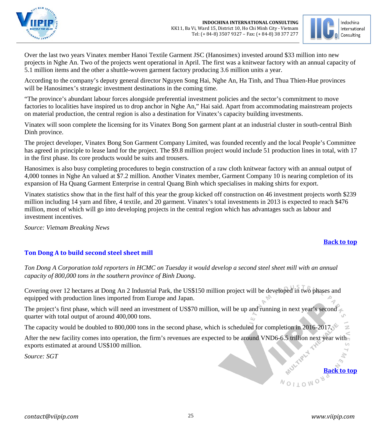



Over the last two years Vinatex member Hanoi Textile Garment JSC (Hanosimex) invested around \$33 million into new projects in Nghe An. Two of the projects went operational in April. The first was a knitwear factory with an annual capacity of 5.1 million items and the other a shuttle-woven garment factory producing 3.6 million units a year.

According to the company's deputy general director Nguyen Song Hai, Nghe An, Ha Tinh, and Thua Thien-Hue provinces will be Hanosimex's strategic investment destinations in the coming time.

"The province's abundant labour forces alongside preferential investment policies and the sector's commitment to move factories to localities have inspired us to drop anchor in Nghe An," Hai said. Apart from accommodating mainstream projects on material production, the central region is also a destination for Vinatex's capacity building investments.

Vinatex will soon complete the licensing for its Vinatex Bong Son garment plant at an industrial cluster in south-central Binh Dinh province.

The project developer, Vinatex Bong Son Garment Company Limited, was founded recently and the local People's Committee has agreed in principle to lease land for the project. The \$9.8 million project would include 51 production lines in total, with 17 in the first phase. Its core products would be suits and trousers.

Hanosimex is also busy completing procedures to begin construction of a raw cloth knitwear factory with an annual output of 4,000 tonnes in Nghe An valued at \$7.2 million. Another Vinatex member, Garment Company 10 is nearing completion of its expansion of Ha Quang Garment Enterprise in central Quang Binh which specialises in making shirts for export.

Vinatex statistics show that in the first half of this year the group kicked off construction on 46 investment projects worth \$239 million including 14 yarn and fibre, 4 textile, and 20 garment. Vinatex's total investments in 2013 is expected to reach \$476 million, most of which will go into developing projects in the central region which has advantages such as labour and investment incentives.

*Source: Vietnam Breaking News*

# **Back to top**

# <span id="page-24-0"></span>**Ton Dong A to build second steel sheet mill**

*Ton Dong A Corporation told reporters in HCMC on Tuesday it would develop a second steel sheet mill with an annual capacity of 800,000 tons in the southern province of Binh Duong.*

Covering over 12 hectares at Dong An 2 Industrial Park, the US\$150 million project will be developed in two phases and equipped with production lines imported from Europe and Japan.

The project's first phase, which will need an investment of US\$70 million, will be up and running in next year's second quarter with total output of around 400,000 tons.

The capacity would be doubled to 800,000 tons in the second phase, which is scheduled for completion in 2016-2017.  $\overline{z}$ 

After the new facility comes into operation, the firm's revenues are expected to be around VND6-6.5 trillion next year with exports estimated at around US\$100 million.

<span id="page-24-1"></span>*Source: SGT*

**Back to top**

NOITOMO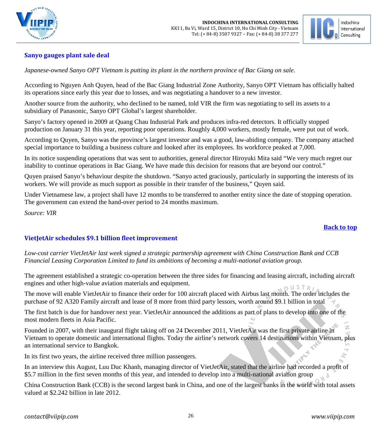



# **Sanyo gauges plant sale deal**

*Japanese-owned Sanyo OPT Vietnam is putting its plant in the northern province of Bac Giang on sale.* 

According to Nguyen Anh Quyen, head of the Bac Giang Industrial Zone Authority, Sanyo OPT Vietnam has officially halted its operations since early this year due to losses, and was negotiating a handover to a new investor.

Another source from the authority, who declined to be named, told VIR the firm was negotiating to sell its assets to a subsidiary of Panasonic, Sanyo OPT Global's largest shareholder.

Sanyo's factory opened in 2009 at Quang Chau Industrial Park and produces infra-red detectors. It officially stopped production on January 31 this year, reporting poor operations. Roughly 4,000 workers, mostly female, were put out of work.

According to Quyen, Sanyo was the province's largest investor and was a good, law-abiding company. The company attached special importance to building a business culture and looked after its employees. Its workforce peaked at 7,000.

In its notice suspending operations that was sent to authorities, general director Hiroyuki Mita said "We very much regret our inability to continue operations in Bac Giang. We have made this decision for reasons that are beyond our control."

Quyen praised Sanyo's behaviour despite the shutdown. "Sanyo acted graciously, particularly in supporting the interests of its workers. We will provide as much support as possible in their transfer of the business," Quyen said.

Under Vietnamese law, a project shall have 12 months to be transferred to another entity since the date of stopping operation. The government can extend the hand-over period to 24 months maximum.

*Source: VIR*

# **Back to top**

# <span id="page-25-0"></span>**VietJetAir schedules \$9.1 billion fleet improvement**

*Low-cost carrier VietJetAir last week signed a strategic partnership agreement with China Construction Bank and CCB Financial Leasing Corporation Limited to fund its ambitions of becoming a multi-national aviation group.*

The agreement established a strategic co-operation between the three sides for financing and leasing aircraft, including aircraft engines and other high-value aviation materials and equipment.  $D$  U S T R  $\prime$ 

The move will enable VietJetAir to finance their order for 100 aircraft placed with Airbus last month. The order includes the purchase of 92 A320 Family aircraft and lease of 8 more from third party lessors, worth around \$9.1 billion in total

The first batch is due for handover next year. VietJetAir announced the additions as part of plans to develop into one of the most modern fleets in Asia Pacific.

Founded in 2007, with their inaugural flight taking off on 24 December 2011, VietJetAir was the first private airline in Vietnam to operate domestic and international flights. Today the airline's network covers 14 destinations within Vietnam, plus an international service to Bangkok.

In its first two years, the airline received three million passengers.

In an interview this August, Luu Duc Khanh, managing director of VietJetAir, stated that the airline had recorded a profit of \$5.7 million in the first seven months of this year, and intended to develop into a multi-national aviation group

China Construction Bank (CCB) is the second largest bank in China, and one of the largest banks in the world with total assets valued at \$2.242 billion in late 2012.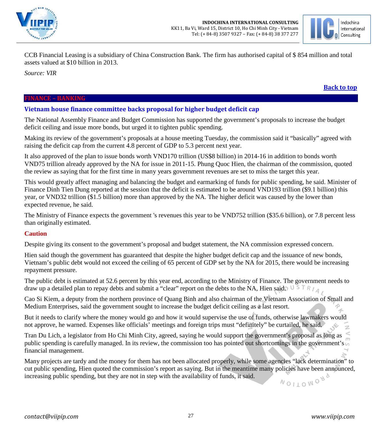



CCB Financial Leasing is a subsidiary of China Construction Bank. The firm has authorised capital of \$ 854 million and total assets valued at \$10 billion in 2013.

*Source: VIR*

# **Back to top**

#### <span id="page-26-0"></span>**FINANCE – BANKING**

# **Vietnam house finance committee backs proposal for higher budget deficit cap**

The National Assembly Finance and Budget Commission has supported the government's proposals to increase the budget deficit ceiling and issue more bonds, but urged it to tighten public spending.

Making its review of the government's proposals at a house meeting Tuesday, the commission said it "basically" agreed with raising the deficit cap from the current 4.8 percent of GDP to 5.3 percent next year.

It also approved of the plan to issue bonds worth VND170 trillion (US\$8 billion) in 2014-16 in addition to bonds worth VND75 trillion already approved by the NA for issue in 2011-15. Phung Quoc Hien, the chairman of the commission, quoted the review as saying that for the first time in many years government revenues are set to miss the target this year.

This would greatly affect managing and balancing the budget and earmarking of funds for public spending, he said. Minister of Finance Dinh Tien Dung reported at the session that the deficit is estimated to be around VND193 trillion (\$9.1 billion) this year, or VND32 trillion (\$1.5 billion) more than approved by the NA. The higher deficit was caused by the lower than expected revenue, he said.

The Ministry of Finance expects the government 's revenues this year to be VND752 trillion (\$35.6 billion), or 7.8 percent less than originally estimated.

## **Caution**

Despite giving its consent to the government's proposal and budget statement, the NA commission expressed concern.

Hien said though the government has guaranteed that despite the higher budget deficit cap and the issuance of new bonds, Vietnam's public debt would not exceed the ceiling of 65 percent of GDP set by the NA for 2015, there would be increasing repayment pressure.

The public debt is estimated at 52.6 percent by this year end, according to the Ministry of Finance. The government needs to draw up a detailed plan to repay debts and submit a "clear" report on the debts to the NA, Hien said. U S T R  $\frac{1}{4}$ 

Cao Si Kiem, a deputy from the northern province of Quang Binh and also chairman of the Vietnam Association of Small and Medium Enterprises, said the government sought to increase the budget deficit ceiling as a last resort.

But it needs to clarify where the money would go and how it would supervise the use of funds, otherwise lawmakers would not approve, he warned. Expenses like officials' meetings and foreign trips must "definitely" be curtailed, he said.

Tran Du Lich, a legislator from Ho Chi Minh City, agreed, saying he would support the government's proposal as long as public spending is carefully managed. In its review, the commission too has pointed out shortcomings in the government's financial management.

Many projects are tardy and the money for them has not been allocated properly, while some agencies "lack determination" to cut public spending, Hien quoted the commission's report as saying. But in the meantime many policies have been announced, increasing public spending, but they are not in step with the availability of funds, it said. WOILOWOUD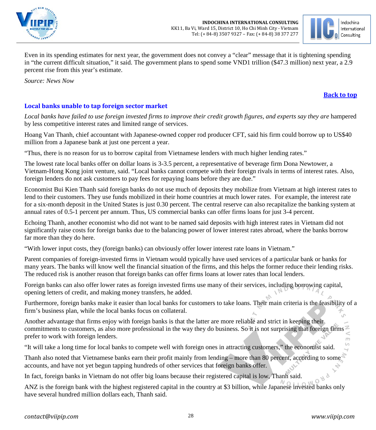



Even in its spending estimates for next year, the government does not convey a "clear" message that it is tightening spending in "the current difficult situation," it said. The government plans to spend some VND1 trillion (\$47.3 million) next year, a 2.9 percent rise from this year's estimate.

*Source: News Now*

# **Back to top**

# <span id="page-27-0"></span>**Local banks unable to tap foreign sector market**

Local banks have failed to use foreign invested firms to improve their credit growth figures, and experts say they are hampered by less competitive interest rates and limited range of services.

Hoang Van Thanh, chief accountant with Japanese-owned copper rod producer CFT, said his firm could borrow up to US\$40 million from a Japanese bank at just one percent a year.

"Thus, there is no reason for us to borrow capital from Vietnamese lenders with much higher lending rates."

The lowest rate local banks offer on dollar loans is 3-3.5 percent, a representative of beverage firm Dona Newtower, a Vietnam-Hong Kong joint venture, said. "Local banks cannot compete with their foreign rivals in terms of interest rates. Also, foreign lenders do not ask customers to pay fees for repaying loans before they are due."

Economist Bui Kien Thanh said foreign banks do not use much of deposits they mobilize from Vietnam at high interest rates to lend to their customers. They use funds mobilized in their home countries at much lower rates. For example, the interest rate for a six-month deposit in the United States is just 0.30 percent. The central reserve can also recapitalize the banking system at annual rates of 0.5-1 percent per annum. Thus, US commercial banks can offer firms loans for just 3-4 percent.

Echoing Thanh, another economist who did not want to be named said deposits with high interest rates in Vietnam did not significantly raise costs for foreign banks due to the balancing power of lower interest rates abroad, where the banks borrow far more than they do here.

"With lower input costs, they (foreign banks) can obviously offer lower interest rate loans in Vietnam."

Parent companies of foreign-invested firms in Vietnam would typically have used services of a particular bank or banks for many years. The banks will know well the financial situation of the firms, and this helps the former reduce their lending risks. The reduced risk is another reason that foreign banks can offer firms loans at lower rates than local lenders.

Foreign banks can also offer lower rates as foreign invested firms use many of their services, including borrowing capital, opening letters of credit, and making money transfers, he added.

Furthermore, foreign banks make it easier than local banks for customers to take loans. Their main criteria is the feasibility of a firm's business plan, while the local banks focus on collateral.

Another advantage that firms enjoy with foreign banks is that the latter are more reliable and strict in keeping their commitments to customers, as also more professional in the way they do business. So it is not surprising that foreign firms prefer to work with foreign lenders.

"It will take a long time for local banks to compete well with foreign ones in attracting customers," the economist said.

Thanh also noted that Vietnamese banks earn their profit mainly from lending – more than 80 percent, according to some accounts, and have not yet begun tapping hundreds of other services that foreign banks offer.

In fact, foreign banks in Vietnam do not offer big loans because their registered capital is low, Thanh said.

ANZ is the foreign bank with the highest registered capital in the country at \$3 billion, while Japanese invested banks only have several hundred million dollars each, Thanh said.

 $\cup$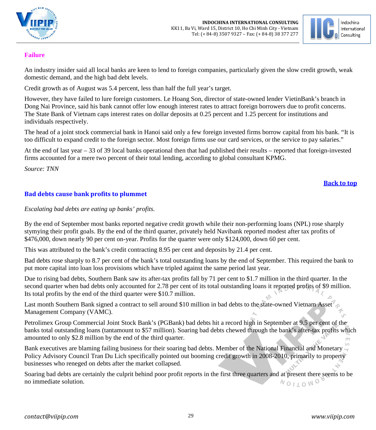



# **Failure**

An industry insider said all local banks are keen to lend to foreign companies, particularly given the slow credit growth, weak domestic demand, and the high bad debt levels.

Credit growth as of August was 5.4 percent, less than half the full year's target.

However, they have failed to lure foreign customers. Le Hoang Son, director of state-owned lender VietinBank's branch in Dong Nai Province, said his bank cannot offer low enough interest rates to attract foreign borrowers due to profit concerns. The State Bank of Vietnam caps interest rates on dollar deposits at 0.25 percent and 1.25 percent for institutions and individuals respectively.

The head of a joint stock commercial bank in Hanoi said only a few foreign invested firms borrow capital from his bank. "It is too difficult to expand credit to the foreign sector. Most foreign firms use our card services, or the service to pay salaries."

At the end of last year – 33 of 39 local banks operational then that had published their results – reported that foreign-invested firms accounted for a mere two percent of their total lending, according to global consultant KPMG.

*Source: TNN*

# **Back to top**

# <span id="page-28-0"></span>**Bad debts cause bank profits to plummet**

*Escalating bad debts are eating up banks' profits.*

By the end of September most banks reported negative credit growth while their non-performing loans (NPL) rose sharply stymying their profit goals. By the end of the third quarter, privately held Navibank reported modest after tax profits of \$476,000, down nearly 90 per cent on-year. Profits for the quarter were only \$124,000, down 60 per cent.

This was attributed to the bank's credit contracting 8.95 per cent and deposits by 21.4 per cent.

Bad debts rose sharply to 8.7 per cent of the bank's total outstanding loans by the end of September. This required the bank to put more capital into loan loss provisions which have tripled against the same period last year.

Due to rising bad debts, Southern Bank saw its after-tax profits fall by 71 per cent to \$1.7 million in the third quarter. In the second quarter when bad debts only accounted for 2.78 per cent of its total outstanding loans it reported profits of \$9 million. Its total profits by the end of the third quarter were \$10.7 million.

Last month Southern Bank signed a contract to sell around \$10 million in bad debts to the state-owned Vietnam Asset Management Company (VAMC).

Petrolimex Group Commercial Joint Stock Bank's (PGBank) bad debts hit a record high in September at 9.5 per cent of the banks total outstanding loans (tantamount to \$57 million). Soaring bad debts chewed through the bank's after-tax profits which amounted to only \$2.8 million by the end of the third quarter.

Bank executives are blaming failing business for their soaring bad debts. Member of the National Financial and Monetary Policy Advisory Council Tran Du Lich specifically pointed out booming credit growth in 2008-2010, primarily to property businesses who reneged on debts after the market collapsed.

Soaring bad debts are certainly the culprit behind poor profit reports in the first three quarters and at present there seems to be no immediate solution.NOILONO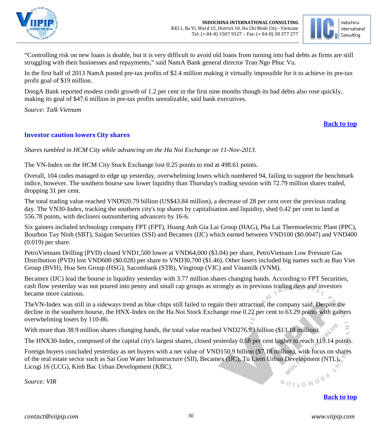



"Controlling risk on new loans is doable, but it is very difficult to avoid old loans from turning into bad debts as firms are still struggling with their businesses and repayments," said NamA Bank general director Tran Ngo Phuc Vu.

In the first half of 2013 NamA posted pre-tax profits of \$2.4 million making it virtually impossible for it to achieve its pre-tax profit goal of \$19 million.

DongA Bank reported modest credit growth of 1.2 per cent in the first nine months though its bad debts also rose quickly, making its goal of \$47.6 million in pre-tax profits unrealizable, said bank executives.

*Source: Talk Vietnam*

# **Back to top**

## <span id="page-29-0"></span>**Investor caution lowers City shares**

*Shares tumbled in HCM City while advancing on the Ha Noi Exchange on 11-Nov-2013.*

The VN-Index on the HCM City Stock Exchange lost 0.25 points to end at 498.61 points.

Overall, 104 codes managed to edge up yesterday, overwhelming losers which numbered 94, failing to support the benchmark indice, however. The southern bourse saw lower liquidity than Thursday's trading session with 72.79 million shares traded, dropping 31 per cent.

The total trading value reached VND920.79 billion (US\$43.84 million), a decrease of 28 per cent over the previous trading day. The VN30-Index, tracking the southern city's top shares by capitalisation and liquidity, shed 0.42 per cent to land at 556.78 points, with decliners outnumbering advancers by 16-6.

Six gainers included technology company FPT (FPT), Hoang Anh Gia Lai Group (HAG), Pha Lai Thermoelectric Plant (PPC), Bourbon Tay Ninh (SBT), Saigon Securities (SSI) and Becamex (IJC) which earned between VND100 (\$0.0047) and VND400 (0.019) per share.

PetroVietnam Drilling (PVD) closed VND1,500 lower at VND64,000 (\$3.04) per share, PetroVietnam Low Pressure Gas Distribution (PVD) lost VND600 (\$0.028) per share to VND30,700 (\$1.46). Other losers included big names such as Bao Viet Group (BVH), Hoa Sen Group (HSG), Sacombank (STB), Vingroup (VIC) and Vinamilk (VNM).

Becamex (IJC) lead the bourse in liquidity yesterday with 3.77 million shares changing hands. According to FPT Securities, cash flow yesterday was not poured into penny and small cap groups as strongly as in previous trading days and investors became more cautious.

TheVN-Index was still in a sideways trend as blue chips still failed to regain their attraction, the company said. Despite the decline in the southern bourse, the HNX-Index on the Ha Noi Stock Exchange rose 0.22 per cent to 63.29 points with gainers overwhelming losers by 110-86.

With more than 38.9 million shares changing hands, the total value reached VND276.93 billion (\$13.18 million).

The HNX30-Index, composed of the capital city's largest shares, closed yesterday 0.58 per cent higher to reach 119.14 points.

Foreign buyers concluded yesterday as net buyers with a net value of VND150.9 billion (\$7.18 million), with focus on shares of the real estate sector such as Sai Gon Water Infrastructure (SII), Becamex (IJC), Tu Liem Urban Development (NTL), Licogi 16 (LCG), Kinh Bac Urban Development (KBC).

*Source: VIR*

# **Back to top**

 $\overline{z}$ 

NOITOMOAD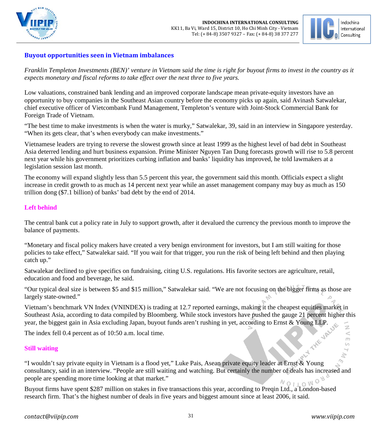



# **Buyout opportunities seen in Vietnam imbalances**

*Franklin Templeton Investments (BEN)' venture in Vietnam said the time is right for buyout firms to invest in the country as it expects monetary and fiscal reforms to take effect over the next three to five years.*

Low valuations, constrained bank lending and an improved corporate landscape mean private-equity investors have an opportunity to buy companies in the Southeast Asian country before the economy picks up again, said Avinash Satwalekar, chief executive officer of Vietcombank Fund Management, Templeton's venture with Joint-Stock Commercial Bank for Foreign Trade of Vietnam.

"The best time to make investments is when the water is murky," Satwalekar, 39, said in an interview in Singapore yesterday. "When its gets clear, that's when everybody can make investments."

Vietnamese leaders are trying to reverse the slowest growth since at least 1999 as the highest level of bad debt in Southeast Asia deterred lending and hurt business expansion. Prime Minister Nguyen Tan Dung forecasts growth will rise to 5.8 percent next year while his government prioritizes curbing inflation and banks' liquidity has improved, he told lawmakers at a legislation session last month.

The economy will expand slightly less than 5.5 percent this year, the government said this month. Officials expect a slight increase in credit growth to as much as 14 percent next year while an asset management company may buy as much as 150 trillion dong (\$7.1 billion) of banks' bad debt by the end of 2014.

# **Left behind**

The central bank cut a policy rate in July to support growth, after it devalued the currency the previous month to improve the balance of payments.

"Monetary and fiscal policy makers have created a very benign environment for investors, but I am still waiting for those policies to take effect," Satwalekar said. "If you wait for that trigger, you run the risk of being left behind and then playing catch up."

Satwalekar declined to give specifics on fundraising, citing U.S. regulations. His favorite sectors are agriculture, retail, education and food and beverage, he said.

"Our typical deal size is between \$5 and \$15 million," Satwalekar said. "We are not focusing on the bigger firms as those are largely state-owned."

Vietnam's benchmark VN Index (VNINDEX) is trading at 12.7 reported earnings, making it the cheapest equities market in Southeast Asia, according to data compiled by Bloomberg. While stock investors have pushed the gauge 21 percent higher this year, the biggest gain in Asia excluding Japan, buyout funds aren't rushing in yet, according to Ernst & Young LLP.

The index fell 0.4 percent as of 10:50 a.m. local time.

# **Still waiting**

"I wouldn't say private equity in Vietnam is a flood yet," Luke Pais, Asean private equity leader at Ernst & Young consultancy, said in an interview. "People are still waiting and watching. But certainly the number of deals has increased and people are spending more time looking at that market."  $N$  O  $11$  O  $W$ 

Buyout firms have spent \$287 million on stakes in five transactions this year, according to Preqin Ltd., a London-based research firm. That's the highest number of deals in five years and biggest amount since at least 2006, it said.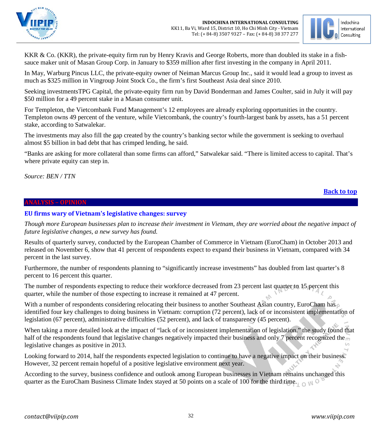



KKR & Co. (KKR), the private-equity firm run by Henry Kravis and George Roberts, more than doubled its stake in a fishsauce maker unit of Masan Group Corp. in January to \$359 million after first investing in the company in April 2011.

In May, Warburg Pincus LLC, the private-equity owner of Neiman Marcus Group Inc., said it would lead a group to invest as much as \$325 million in Vingroup Joint Stock Co., the firm's first Southeast Asia deal since 2010.

Seeking investmentsTPG Capital, the private-equity firm run by David Bonderman and James Coulter, said in July it will pay \$50 million for a 49 percent stake in a Masan consumer unit.

For Templeton, the Vietcombank Fund Management's 12 employees are already exploring opportunities in the country. Templeton owns 49 percent of the venture, while Vietcombank, the country's fourth-largest bank by assets, has a 51 percent stake, according to Satwalekar.

The investments may also fill the gap created by the country's banking sector while the government is seeking to overhaul almost \$5 billion in bad debt that has crimped lending, he said.

"Banks are asking for more collateral than some firms can afford," Satwalekar said. "There is limited access to capital. That's where private equity can step in.

*Source: BEN / TTN*

# **Back to top**

## <span id="page-31-0"></span>**ANALYSIS – OPINION**

# <span id="page-31-1"></span>**EU firms wary of Vietnam's legislative changes: survey**

*Though more European businesses plan to increase their investment in Vietnam, they are worried about the negative impact of future legislative changes, a new survey has found.*

Results of quarterly survey, conducted by the European Chamber of Commerce in Vietnam (EuroCham) in October 2013 and released on November 6, show that 41 percent of respondents expect to expand their business in Vietnam, compared with 34 percent in the last survey.

Furthermore, the number of respondents planning to "significantly increase investments" has doubled from last quarter's 8 percent to 16 percent this quarter.

The number of respondents expecting to reduce their workforce decreased from 23 percent last quarter to 15 percent this quarter, while the number of those expecting to increase it remained at 47 percent.

With a number of respondents considering relocating their business to another Southeast Asian country, EuroCham has identified four key challenges to doing business in Vietnam: corruption (72 percent), lack of or inconsistent implementation of legislation (67 percent), administrative difficulties (52 percent), and lack of transparency (45 percent).

When taking a more detailed look at the impact of "lack of or inconsistent implementation of legislation." the study found that half of the respondents found that legislative changes negatively impacted their business and only 7 percent recognized the legislative changes as positive in 2013.  $\circ$ 

Looking forward to 2014, half the respondents expected legislation to continue to have a negative impact on their business. However, 32 percent remain hopeful of a positive legislative environment next year.

According to the survey, business confidence and outlook among European businesses in Vietnam remains unchanged this quarter as the EuroCham Business Climate Index stayed at 50 points on a scale of 100 for the third time.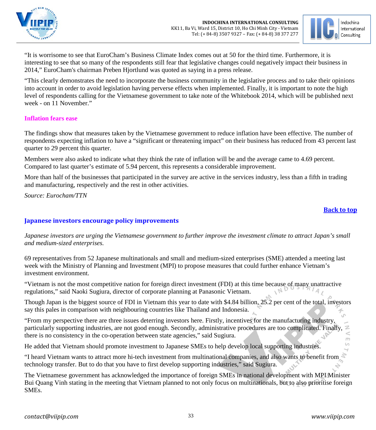



**Back to top**

"It is worrisome to see that EuroCham's Business Climate Index comes out at 50 for the third time. Furthermore, it is interesting to see that so many of the respondents still fear that legislative changes could negatively impact their business in 2014," EuroCham's chairman Preben Hjortlund was quoted as saying in a press release.

"This clearly demonstrates the need to incorporate the business community in the legislative process and to take their opinions into account in order to avoid legislation having perverse effects when implemented. Finally, it is important to note the high level of respondents calling for the Vietnamese government to take note of the Whitebook 2014, which will be published next week - on 11 November."

## **Inflation fears ease**

The findings show that measures taken by the Vietnamese government to reduce inflation have been effective. The number of respondents expecting inflation to have a "significant or threatening impact" on their business has reduced from 43 percent last quarter to 29 percent this quarter.

Members were also asked to indicate what they think the rate of inflation will be and the average came to 4.69 percent. Compared to last quarter's estimate of 5.94 percent, this represents a considerable improvement.

More than half of the businesses that participated in the survey are active in the services industry, less than a fifth in trading and manufacturing, respectively and the rest in other activities.

*Source: Eurocham/TTN*

# <span id="page-32-0"></span>**Japanese investors encourage policy improvements**

*Japanese investors are urging the Vietnamese government to further improve the investment climate to attract Japan's small and medium-sized enterprises.*

69 representatives from 52 Japanese multinationals and small and medium-sized enterprises (SME) attended a meeting last week with the Ministry of Planning and Investment (MPI) to propose measures that could further enhance Vietnam's investment environment.

"Vietnam is not the most competitive nation for foreign direct investment (FDI) at this time because of many unattractive regulations," said Naoki Sugiura, director of corporate planning at Panasonic Vietnam.

Though Japan is the biggest source of FDI in Vietnam this year to date with \$4.84 billion, 25.2 per cent of the total, investors say this pales in comparison with neighbouring countries like Thailand and Indonesia.

"From my perspective there are three issues deterring investors here. Firstly, incentives for the manufacturing industry, particularly supporting industries, are not good enough. Secondly, administrative procedures are too complicated. Finally, there is no consistency in the co-operation between state agencies," said Sugiura.

He added that Vietnam should promote investment to Japanese SMEs to help develop local supporting industries.

"I heard Vietnam wants to attract more hi-tech investment from multinational companies, and also wants to benefit from technology transfer. But to do that you have to first develop supporting industries," said Sugiura.

The Vietnamese government has acknowledged the importance of foreign SMEs in national development with MPI Minister Bui Quang Vinh stating in the meeting that Vietnam planned to not only focus on multinationals, but to also prioritise foreign SMEs.

 $\cup$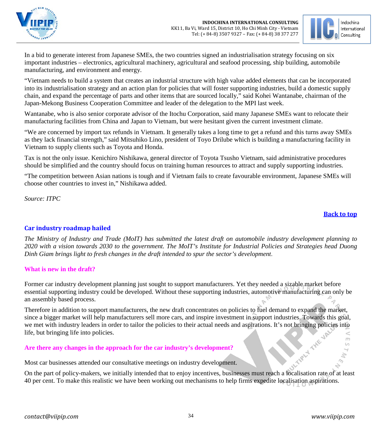



In a bid to generate interest from Japanese SMEs, the two countries signed an industrialisation strategy focusing on six important industries – electronics, agricultural machinery, agricultural and seafood processing, ship building, automobile manufacturing, and environment and energy.

"Vietnam needs to build a system that creates an industrial structure with high value added elements that can be incorporated into its industrialisation strategy and an action plan for policies that will foster supporting industries, build a domestic supply chain, and expand the percentage of parts and other items that are sourced locally," said Kohei Wantanabe, chairman of the Japan-Mekong Business Cooperation Committee and leader of the delegation to the MPI last week.

Wantanabe, who is also senior corporate advisor of the Itochu Corporation, said many Japanese SMEs want to relocate their manufacturing facilities from China and Japan to Vietnam, but were hesitant given the current investment climate.

"We are concerned by import tax refunds in Vietnam. It generally takes a long time to get a refund and this turns away SMEs as they lack financial strength," said Mitsuhiko Lino, president of Toyo Drilube which is building a manufacturing facility in Vietnam to supply clients such as Toyota and Honda.

Tax is not the only issue. Kenichiro Nishikawa, general director of Toyota Tsusho Vietnam, said administrative procedures should be simplified and the country should focus on training human resources to attract and supply supporting industries.

"The competition between Asian nations is tough and if Vietnam fails to create favourable environment, Japanese SMEs will choose other countries to invest in," Nishikawa added.

*Source: ITPC*

## **Back to top**

# <span id="page-33-0"></span>**Car industry roadmap hailed**

*The Ministry of Industry and Trade (MoIT) has submitted the latest draft on automobile industry development planning to 2020 with a vision towards 2030 to the government. The MoIT's Institute for Industrial Policies and Strategies head Duong Dinh Giam brings light to fresh changes in the draft intended to spur the sector's development*.

# **What is new in the draft?**

Former car industry development planning just sought to support manufacturers. Yet they needed a sizable market before essential supporting industry could be developed. Without these supporting industries, automotive manufacturing can only be an assembly based process.

Therefore in addition to support manufacturers, the new draft concentrates on policies to fuel demand to expand the market, since a bigger market will help manufacturers sell more cars, and inspire investment in support industries. Towards this goal, we met with industry leaders in order to tailor the policies to their actual needs and aspirations. It's not bringing policies into life, but bringing life into policies.

## **Are there any changes in the approach for the car industry's development?**

Most car businesses attended our consultative meetings on industry development.

On the part of policy-makers, we initially intended that to enjoy incentives, businesses must reach a localisation rate of at least 40 per cent. To make this realistic we have been working out mechanisms to help firms expedite localisation aspirations.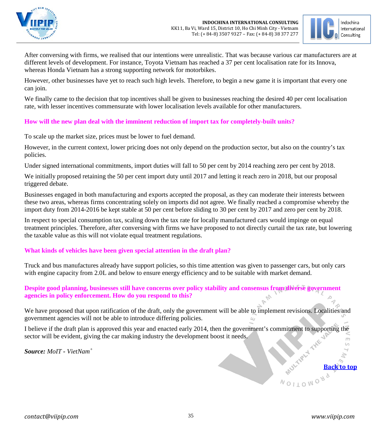



After conversing with firms, we realised that our intentions were unrealistic. That was because various car manufacturers are at different levels of development. For instance, Toyota Vietnam has reached a 37 per cent localisation rate for its Innova, whereas Honda Vietnam has a strong supporting network for motorbikes.

However, other businesses have yet to reach such high levels. Therefore, to begin a new game it is important that every one can join.

We finally came to the decision that top incentives shall be given to businesses reaching the desired 40 per cent localisation rate, with lesser incentives commensurate with lower localisation levels available for other manufacturers.

# **How will the new plan deal with the imminent reduction of import tax for completely-built units?**

To scale up the market size, prices must be lower to fuel demand.

However, in the current context, lower pricing does not only depend on the production sector, but also on the country's tax policies.

Under signed international commitments, import duties will fall to 50 per cent by 2014 reaching zero per cent by 2018.

We initially proposed retaining the 50 per cent import duty until 2017 and letting it reach zero in 2018, but our proposal triggered debate.

Businesses engaged in both manufacturing and exports accepted the proposal, as they can moderate their interests between these two areas, whereas firms concentrating solely on imports did not agree. We finally reached a compromise whereby the import duty from 2014-2016 be kept stable at 50 per cent before sliding to 30 per cent by 2017 and zero per cent by 2018.

In respect to special consumption tax, scaling down the tax rate for locally manufactured cars would impinge on equal treatment principles. Therefore, after conversing with firms we have proposed to not directly curtail the tax rate, but lowering the taxable value as this will not violate equal treatment regulations.

## **What kinds of vehicles have been given special attention in the draft plan?**

Truck and bus manufactures already have support policies, so this time attention was given to passenger cars, but only cars with engine capacity from 2.0L and below to ensure energy efficiency and to be suitable with market demand.

# **Despite good planning, businesses still have concerns over policy stability and consensus from diverse government agencies in policy enforcement. How do you respond to this?**

We have proposed that upon ratification of the draft, only the government will be able to implement revisions. Localities and government agencies will not be able to introduce differing policies.

I believe if the draft plan is approved this year and enacted early 2014, then the government's commitment to supporting the sector will be evident, giving the car making industry the development boost it needs.

*Source: MoIT - VietNam<sup>+</sup>*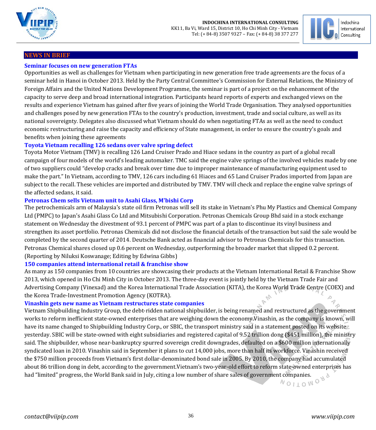



#### <span id="page-35-0"></span>**NEWS IN BRIEF**

#### **Seminar focuses on new generation FTAs**

Opportunities as well as challenges for Vietnam when participating in new generation free trade agreements are the focus of a seminar held in Hanoi in October 2013. Held by the Party Central Committee's Commission for External Relations, the Ministry of Foreign Affairs and the United Nations Development Programme, the seminar is part of a project on the enhancement of the capacity to serve deep and broad international integration. Participants heard reports of experts and exchanged views on the results and experience Vietnam has gained after five years of joining the World Trade Organisation. They analysed opportunities and challenges posed by new generation FTAs to the country's production, investment, trade and social culture, as well as its national sovereignty. Delegates also discussed what Vietnam should do when negotiating FTAs as well as the need to conduct economic restructuring and raise the capacity and efficiency of State management, in order to ensure the country's goals and benefits when joining these agreements

#### **Toyota Vietnam recalling 126 sedans over valve spring defect**

Toyota Motor Vietnam (TMV) is recalling 126 Land Cruiser Prado and Hiace sedans in the country as part of a global recall campaign of four models of the world's leading automaker. TMC said the engine valve springs of the involved vehicles made by one of two suppliers could "develop cracks and break over time due to improper maintenance of manufacturing equipment used to make the part." In Vietnam, according to TMV, 126 cars including 61 Hiaces and 65 Land Cruiser Prados imported from Japan are subject to the recall. These vehicles are imported and distributed by TMV. TMV will check and replace the engine valve springs of the affected sedans, it said.

#### **Petronas Chem sells Vietnam unit to Asahi Glass, M'bishi Corp**

The petrochemicals arm of Malaysia's state oil firm Petronas will sell its stake in Vietnam's Phu My Plastics and Chemical Company Ltd (PMPC) t[o Japan](http://uk.reuters.com/places/japan)'s Asahi Glass Co Ltd and Mitsubishi Corporation. Petronas Chemicals Group Bhd said in a stock exchange statement on Wednesday the divestment of 93.1 percent of PMPC was part of a plan to discontinue its viny[l business](http://uk.reuters.com/finance?lc=int_mb_1001) and strengthen its asset portfolio. Petronas Chemicals did not disclose the financial details of the transaction but said the sale would be completed by the second quarter of 2014. Deutsche Bank acted as financial advisor to Petronas Chemicals for this transaction. Petronas Chemical shares closed up 0.6 percent on Wednesday, outperforming the broader market that slipped 0.2 percent. (Reporting by Niluksi Koswanage; Editing by Edwina Gibbs)

#### **150 companies attend international retail & franchise show**

As many as 150 companies from 10 countries are showcasing their products at the Vietnam International Retail & Franchise Show 2013, which opened in Ho Chi Minh City in October 2013. The three-day event is jointly held by the Vietnam Trade Fair and Advertising Company (Vinexad) and the Korea International Trade Association (KITA), the Korea World Trade Centre (COEX) and the Korea Trade-Investment Promotion Agency (KOTRA).

#### **Vinashin gets new name as Vietnam restructures state companies**

Vietnam Shipbuilding Industry Group, the debt-ridden national shipbuilder, is being renamed and restructured as the government works to reform inefficient state-owned enterprises that are weighing down the economy.Vinashin, as the company is known, will have its name changed to Shipbuilding Industry Corp., or SBIC, the transport ministry said in a statement posted on its website yesterday. SBIC will be state-owned with eight subsidiaries and registered capital of 9.52 trillion dong (\$451 million), the ministry said. The shipbuilder, whose near-bankruptcy spurred sovereign credit downgrades, defaulted on a \$600 million internationally syndicated loan in 2010. Vinashin said in September it plans to cut 14,000 jobs, more than half its workforce. Vinashin received the \$750 million proceeds from Vietnam's first dollar-denominated bond sale in 2005. By 2010, the company had accumulated about 86 trillion dong in debt, according to the government.Vietnam's two-year-old effort to reform state-owned enterprises has had "limited" progress, the World Bank said in July, citing a low number of share sales of government companies.<br>  $\begin{array}{c} \mathbb{N} \subset \mathbb{N} \end{array}$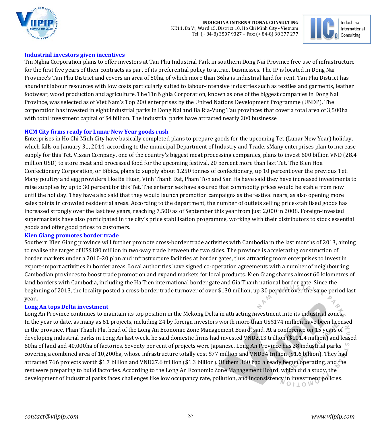



## **Industrial investors given incentives**

Tin Nghia Corporation plans to offer investors at Tan Phu Industrial Park in southern Dong Nai Province free use of infrastructure for the first five years of their contracts as part of its preferential policy to attract businesses. The IP is located in Dong Nai Province's Tan Phu District and covers an area of 50ha, of which more than 36ha is industrial land for rent. Tan Phu District has abundant labour resources with low costs particularly suited to labour-intensive industries such as textiles and garments, leather footwear, wood production and agriculture. The Tin Nghia Corporation, known as one of the biggest companies in Dong Nai Province, was selected as of Viet Nam's Top 200 enterprises by the United Nations Development Programme (UNDP). The corporation has invested in eight industrial parks in Dong Nai and Ba Ria-Vung Tau provinces that cover a total area of 3,500ha with total investment capital of \$4 billion. The industrial parks have attracted nearly 200 businesse

#### **HCM City firms ready for Lunar New Year goods rush**

Enterprises in Ho Chi Minh City have basically completed plans to prepare goods for the upcoming Tet (Lunar New Year) holiday, which falls on January 31, 2014, according to the municipal Department of Industry and Trade. sMany enterprises plan to increase supply for this Tet. Vissan Company, one of the country's biggest meat processing companies, plans to invest 600 billion VND (28.4 million USD) to store meat and processed food for the upcoming festival, 20 percent more than last Tet. The Bien Hoa Confectionery Corporation, or Bibica, plans to supply about 1,250 tonnes of confectionery, up 10 percent over the previous Tet. Many poultry and egg providers like Ba Huan, Vinh Thanh Dat, Pham Ton and San Ha have said they have increased investments to raise supplies by up to 30 percent for this Tet. The enterprises have assured that commodity prices would be stable from now until the holiday. They have also said that they would launch promotion campaigns as the festival nears, as also opening more sales points in crowded residential areas. According to the department, the number of outlets selling price-stabilised goods has increased strongly over the last few years, reaching 7,500 as of September this year from just 2,000 in 2008. Foreign-invested supermarkets have also participated in the city's price stabilisation programme, working with their distributors to stock essential goods and offer good prices to customers.

#### **Kien Giang promotes border trade**

Southern Kien Giang province will further promote cross-border trade activities with Cambodia in the last months of 2013, aiming to realise the target of US\$180 million in two-way trade between the two sides. The province is accelerating construction of border markets under a 2010-20 plan and infrastructure facilities at border gates, thus attracting more enterprises to invest in export-import activities in border areas. Local authorities have signed co-operation agreements with a number of neighbouring Cambodian provinces to boost trade promotion and expand markets for local products. Kien Giang shares almost 60 kilometres of land borders with Cambodia, including the Ha Tien international border gate and Gia Thanh national border gate. Since the beginning of 2013, the locality posted a cross-border trade turnover of over \$130 million, up 30 per cent over the same period last year..

## **Long An tops Delta investment**

Long An Province continues to maintain its top position in the Mekong Delta in attracting investment into its industrial zones. In the year to date, as many as 61 projects, including 24 by foreign investors worth more than US\$174 million have been licensed in the province, Phan Thanh Phi, head of the Long An Economic Zone Management Board, said. At a conference on 15 years of developing industrial parks in Long An last week, he said domestic firms had invested VND2.13 trillion (\$101.4 million) and leased 60ha of land and 40,000ha of factories. Seventy per cent of projects were Japanese. Long An Province has 28 industrial parks covering a combined area of 10,200ha, whose infrastructure totally cost \$77 million and VND34 trillion (\$1.6 billion). They had attracted 766 projects worth \$1.7 billion and VND27.6 trillion (\$1.3 billion). Of them 360 had already begun operating, and the rest were preparing to build factories. According to the Long An Economic Zone Management Board, which did a study, the development of industrial parks faces challenges like low occupancy rate, pollution, and inconsistency in investment policies.<br>  $\Box$ 

*contact@viipip.com* 37 *www.viipip.com*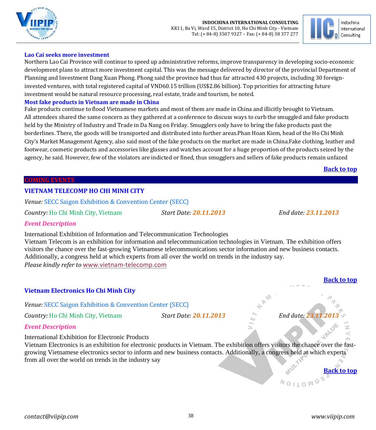



#### **Lao Cai seeks more investment**

Northern Lao Cai Province will continue to speed up administrative reforms, improve transparency in developing socio-economic development plans to attract more investment capital. This was the message delivered by director of the provincial Department of Planning and Investment Dang Xuan Phong. Phong said the province had thus far attracted 430 projects, including 30 foreigninvested ventures, with total registered capital of VND60.15 trillion (US\$2.86 billion). Top priorities for attracting future investment would be natural resource processing, real estate, trade and tourism, he noted.

#### **Most fake products in Vietnam are made in China**

Fake products continue to flood Vietnamese markets and most of them are made in China and illicitly brought to Vietnam. All attendees shared the same concern as they gathered at a conference to discuss ways to curb the smuggled and fake products held by the Ministry of Industry and Trade in Da Nang on Friday. Smugglers only have to bring the fake products past the borderlines. There, the goods will be transported and distributed into further areas.Phan Hoan Kiem, head of the Ho Chi Minh City's Market Management Agency, also said most of the fake products on the market are made in China.Fake clothing, leather and footwear, cosmetic products and accessories like glasses and watches account for a huge proportion of the products seized by the agency, he said. However, few of the violators are indicted or fined, thus smugglers and sellers of fake products remain unfazed

#### **Back to top**

**Back to top**

#### <span id="page-37-0"></span>**COMING EVENTS**

## <span id="page-37-1"></span>**VIETNAM TELECOMP HO CHI MINH CITY**

*Venue:* SECC Saigon Exhibition & Convention Center (SECC)

*Country:* Ho Chi Minh City, Vietnam *Start Date: 20.11.2013 End date: 23.11.2013*

#### *Event Description*

International Exhibition of Information and Telecommunication Technologies

Vietnam Telecom is an exhibition for information and telecommunication technologies in Vietnam. The exhibition offers visitors the chance over the fast-growing Vietnamese telecommunications sector information and new business contacts. Additionally, a congress held at which experts from all over the world on trends in the industry say. *Please kindly refer to* [www.vietnam-telecomp.com](http://www.vietnam-telecomp.com/)

## <span id="page-37-2"></span>**Vietnam Electronics Ho Chi Minh City**

*Venue:* SECC Saigon Exhibition & Convention Center (SECC)

*Country:* Ho Chi Minh City, Vietnam *Start Date: 20.11.2013 End date: 23.11.2013*

## *Event Description*

International Exhibition for Electronic Products

Vietnam Electronics is an exhibition for electronic products in Vietnam. The exhibition offers visitors the chance over the fastgrowing Vietnamese electronics sector to inform and new business contacts. Additionally, a congress held at which experts from all over the world on trends in the industry say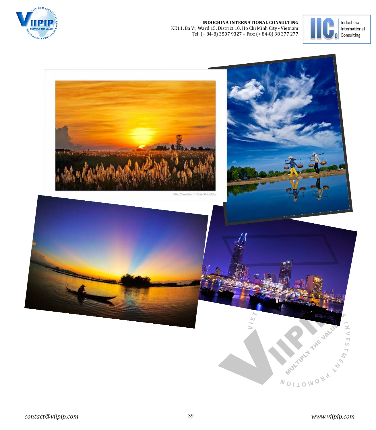

#### **INDOCHINA INTERNATIONAL CONSULTING**  KK11, Ba Vi, Ward 15, District 10, Ho Chi Minh City - Vietnam Tel: (+ 84-8) 3507 9327 – Fax: (+ 84-8) 38 377 277